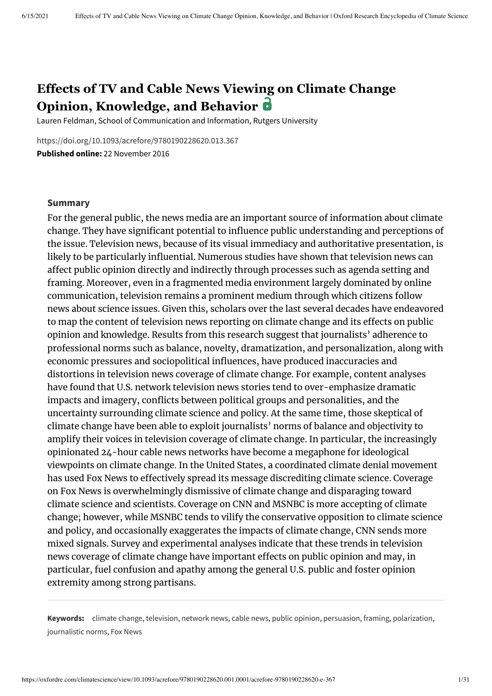# **Effects of TV and Cable News Viewing on Climate Change Opinion, Knowledge, and Behavior**

Lauren Feldman, School of Communication and Information, Rutgers University

<https://doi.org/10.1093/acrefore/9780190228620.013.367> **Published online:** 22 November 2016

#### **Summary**

For the general public, the news media are an important source of information about climate change. They have significant potential to influence public understanding and perceptions of the issue. Television news, because of its visual immediacy and authoritative presentation, is likely to be particularly influential. Numerous studies have shown that television news can affect public opinion directly and indirectly through processes such as agenda setting and framing. Moreover, even in a fragmented media environment largely dominated by online communication, television remains a prominent medium through which citizens follow news about science issues. Given this, scholars over the last several decades have endeavored to map the content of television news reporting on climate change and its effects on public opinion and knowledge. Results from this research suggest that journalists' adherence to professional norms such as balance, novelty, dramatization, and personalization, along with economic pressures and sociopolitical influences, have produced inaccuracies and distortions in television news coverage of climate change. For example, content analyses have found that U.S. network television news stories tend to over-emphasize dramatic impacts and imagery, conflicts between political groups and personalities, and the uncertainty surrounding climate science and policy. At the same time, those skeptical of climate change have been able to exploit journalists' norms of balance and objectivity to amplify their voices in television coverage of climate change. In particular, the increasingly opinionated 24-hour cable news networks have become a megaphone for ideological viewpoints on climate change. In the United States, a coordinated climate denial movement has used Fox News to effectively spread its message discrediting climate science. Coverage on Fox News is overwhelmingly dismissive of climate change and disparaging toward climate science and scientists. Coverage on CNN and MSNBC is more accepting of climate change; however, while MSNBC tends to vilify the conservative opposition to climate science and policy, and occasionally exaggerates the impacts of climate change, CNN sends more mixed signals. Survey and experimental analyses indicate that these trends in television news coverage of climate change have important effects on public opinion and may, in particular, fuel confusion and apathy among the general U.S. public and foster opinion extremity among strong partisans.

**Keywords:** climate [change,](https://oxfordre.com/climatescience/search?btog=chap&f_0=keyword&q_0=climate%20change) [television](https://oxfordre.com/climatescience/search?btog=chap&f_0=keyword&q_0=television), [network](https://oxfordre.com/climatescience/search?btog=chap&f_0=keyword&q_0=network%20news) news, cable [news,](https://oxfordre.com/climatescience/search?btog=chap&f_0=keyword&q_0=cable%20news) public [opinion](https://oxfordre.com/climatescience/search?btog=chap&f_0=keyword&q_0=public%20opinion), [persuasion,](https://oxfordre.com/climatescience/search?btog=chap&f_0=keyword&q_0=persuasion) [framing](https://oxfordre.com/climatescience/search?btog=chap&f_0=keyword&q_0=framing), [polarization,](https://oxfordre.com/climatescience/search?btog=chap&f_0=keyword&q_0=polarization) [journalistic](https://oxfordre.com/climatescience/search?btog=chap&f_0=keyword&q_0=journalistic%20norms) norms, Fox [News](https://oxfordre.com/climatescience/search?btog=chap&f_0=keyword&q_0=Fox%20News)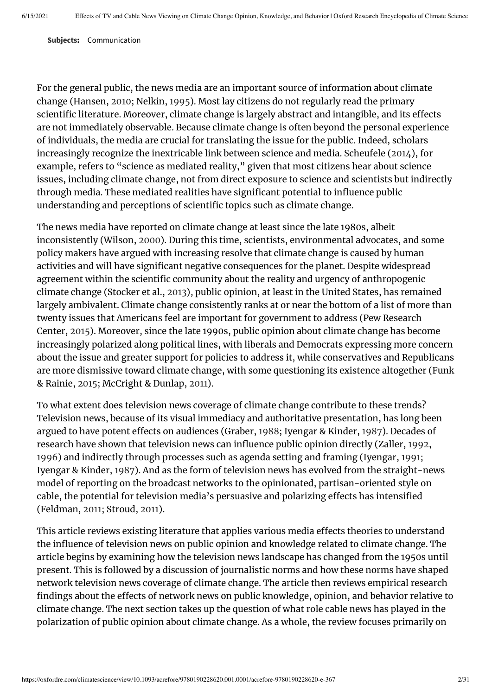**Subjects:** Communication

For the general public, the news media are an important source of information about climate change (Hansen, [2010;](#page-25-0) Nelkin, [1995](#page-27-0)). Most lay citizens do not regularly read the primary scientific literature. Moreover, climate change is largely abstract and intangible, and its effects are not immediately observable. Because climate change is often beyond the personal experience of individuals, the media are crucial for translating the issue for the public. Indeed, scholars increasingly recognize the inextricable link between science and media. Scheufele [\(2014\)](#page-28-0), for example, refers to "science as mediated reality," given that most citizens hear about science issues, including climate change, not from direct exposure to science and scientists but indirectly through media. These mediated realities have significant potential to influence public understanding and perceptions of scientific topics such as climate change.

The news media have reported on climate change at least since the late 1980s, albeit inconsistently (Wilson, [2000](#page-29-0)). During this time, scientists, environmental advocates, and some policy makers have argued with increasing resolve that climate change is caused by human activities and will have significant negative consequences for the planet. Despite widespread agreement within the scientific community about the reality and urgency of anthropogenic climate change (Stocker et al., [2013\)](#page-29-1), public opinion, at least in the United States, has remained largely ambivalent. Climate change consistently ranks at or near the bottom of a list of more than twenty issues that Americans feel are important for government to address (Pew Research Center, [2015\)](#page-28-1). Moreover, since the late 1990s, public opinion about climate change has become increasingly polarized along political lines, with liberals and Democrats expressing more concern about the issue and greater support for policies to address it, while conservatives and Republicans are more dismissive toward climate change, with some questioning its existence altogether (Funk & Rainie, [2015;](#page-24-0) McCright & Dunlap, [2011](#page-27-1)).

To what extent does television news coverage of climate change contribute to these trends? Television news, because of its visual immediacy and authoritative presentation, has long been argued to have potent effects on audiences (Graber, [1988;](#page-25-1) Iyengar & Kinder, [1987](#page-26-0)). Decades of research have shown that television news can influence public opinion directly (Zaller, [1992,](#page-29-2) [1996](#page-29-3)) and indirectly through processes such as agenda setting and framing (Iyengar, [1991;](#page-25-2) Iyengar & Kinder, [1987](#page-26-0)). And as the form of television news has evolved from the straight-news model of reporting on the broadcast networks to the opinionated, partisan-oriented style on cable, the potential for television media's persuasive and polarizing effects has intensified (Feldman, [2011;](#page-24-1) Stroud, [2011](#page-29-4)).

This article reviews existing literature that applies various media effects theories to understand the influence of television news on public opinion and knowledge related to climate change. The article begins by examining how the television news landscape has changed from the 1950s until present. This is followed by a discussion of journalistic norms and how these norms have shaped network television news coverage of climate change. The article then reviews empirical research findings about the effects of network news on public knowledge, opinion, and behavior relative to climate change. The next section takes up the question of what role cable news has played in the polarization of public opinion about climate change. As a whole, the review focuses primarily on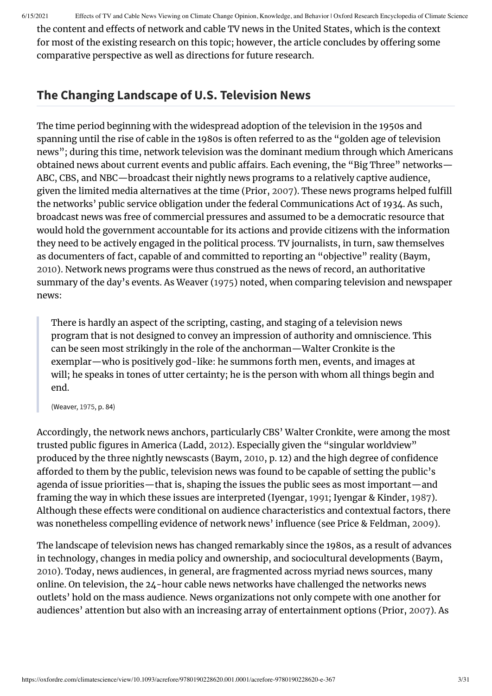the content and effects of network and cable TV news in the United States, which is the context for most of the existing research on this topic; however, the article concludes by offering some comparative perspective as well as directions for future research.

# **The Changing Landscape of U.S. Television News**

The time period beginning with the widespread adoption of the television in the 1950s and spanning until the rise of cable in the 1980s is often referred to as the "golden age of television news"; during this time, network television was the dominant medium through which Americans obtained news about current events and public affairs. Each evening, the "Big Three" networks— ABC, CBS, and NBC—broadcast their nightly news programs to a relatively captive audience, given the limited media alternatives at the time (Prior, [2007](#page-28-2)). These news programs helped fulfill the networks' public service obligation under the federal Communications Act of 1934. As such, broadcast news was free of commercial pressures and assumed to be a democratic resource that would hold the government accountable for its actions and provide citizens with the information they need to be actively engaged in the political process. TV journalists, in turn, saw themselves as documenters of fact, capable of and committed to reporting an "objective" reality (Baym, [2010](#page-23-0)). Network news programs were thus construed as the news of record, an authoritative summary of the day's events. As Weaver ([1975](#page-29-5)) noted, when comparing television and newspaper news:

There is hardly an aspect of the scripting, casting, and staging of a television news program that is not designed to convey an impression of authority and omniscience. This can be seen most strikingly in the role of the anchorman—Walter Cronkite is the exemplar—who is positively god-like: he summons forth men, events, and images at will; he speaks in tones of utter certainty; he is the person with whom all things begin and end.

(Weaver, [1975,](#page-29-5) p. 84)

Accordingly, the network news anchors, particularly CBS' Walter Cronkite, were among the most trusted public figures in America (Ladd, [2012\)](#page-26-1). Especially given the "singular worldview" produced by the three nightly newscasts (Baym, [2010,](#page-23-0) p. 12) and the high degree of confidence afforded to them by the public, television news was found to be capable of setting the public's agenda of issue priorities—that is, shaping the issues the public sees as most important—and framing the way in which these issues are interpreted (Iyengar, [1991;](#page-25-2) Iyengar & Kinder, [1987](#page-26-0)). Although these effects were conditional on audience characteristics and contextual factors, there was nonetheless compelling evidence of network news' influence (see Price & Feldman, [2009\)](#page-28-3).

The landscape of television news has changed remarkably since the 1980s, as a result of advances in technology, changes in media policy and ownership, and sociocultural developments (Baym, [2010](#page-23-0)). Today, news audiences, in general, are fragmented across myriad news sources, many online. On television, the 24-hour cable news networks have challenged the networks news outlets' hold on the mass audience. News organizations not only compete with one another for audiences' attention but also with an increasing array of entertainment options (Prior, [2007\)](#page-28-2). As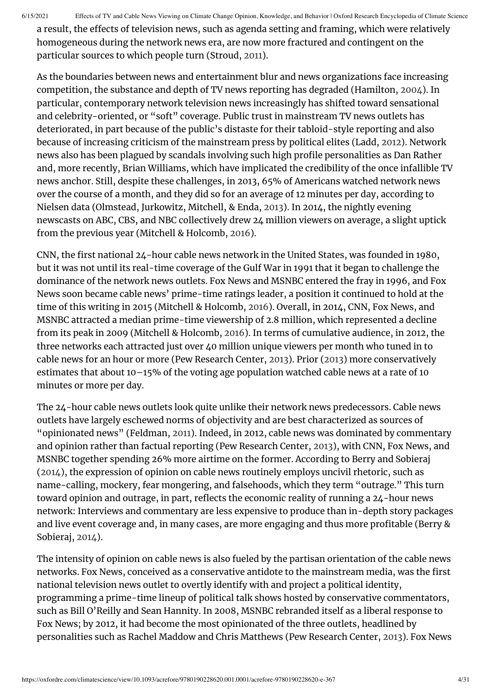a result, the effects of television news, such as agenda setting and framing, which were relatively homogeneous during the network news era, are now more fractured and contingent on the particular sources to which people turn (Stroud, [2011](#page-29-4)).

As the boundaries between news and entertainment blur and news organizations face increasing competition, the substance and depth of TV news reporting has degraded (Hamilton, [2004](#page-25-3)). In particular, contemporary network television news increasingly has shifted toward sensational and celebrity-oriented, or "soft" coverage. Public trust in mainstream TV news outlets has deteriorated, in part because of the public's distaste for their tabloid-style reporting and also because of increasing criticism of the mainstream press by political elites (Ladd, [2012](#page-26-1)). Network news also has been plagued by scandals involving such high profile personalities as Dan Rather and, more recently, Brian Williams, which have implicated the credibility of the once infallible TV news anchor. Still, despite these challenges, in 2013, 65% of Americans watched network news over the course of a month, and they did so for an average of 12 minutes per day, according to Nielsen data (Olmstead, Jurkowitz, Mitchell, & Enda, [2013\)](#page-27-2). In 2014, the nightly evening newscasts on ABC, CBS, and NBC collectively drew 24 million viewers on average, a slight uptick from the previous year (Mitchell & Holcomb, [2016](#page-27-3)).

CNN, the first national 24-hour cable news network in the United States, was founded in 1980, but it was not until its real-time coverage of the Gulf War in 1991 that it began to challenge the dominance of the network news outlets. Fox News and MSNBC entered the fray in 1996, and Fox News soon became cable news' prime-time ratings leader, a position it continued to hold at the time of this writing in 2015 (Mitchell & Holcomb, [2016](#page-27-3)). Overall, in 2014, CNN, Fox News, and MSNBC attracted a median prime-time viewership of 2.8 million, which represented a decline from its peak in 2009 (Mitchell & Holcomb, [2016](#page-27-3)). In terms of cumulative audience, in 2012, the three networks each attracted just over 40 million unique viewers per month who tuned in to cable news for an hour or more (Pew Research Center, [2013](#page-28-4)). Prior [\(2013\)](#page-28-5) more conservatively estimates that about 10–15% of the voting age population watched cable news at a rate of 10 minutes or more per day.

The 24-hour cable news outlets look quite unlike their network news predecessors. Cable news outlets have largely eschewed norms of objectivity and are best characterized as sources of "opinionated news" (Feldman, [2011](#page-24-1)). Indeed, in 2012, cable news was dominated by commentary and opinion rather than factual reporting (Pew Research Center, [2013\)](#page-28-4), with CNN, Fox News, and MSNBC together spending 26% more airtime on the former. According to Berry and Sobieraj [\(2014\)](#page-23-1), the expression of opinion on cable news routinely employs uncivil rhetoric, such as name-calling, mockery, fear mongering, and falsehoods, which they term "outrage." This turn toward opinion and outrage, in part, reflects the economic reality of running a 24-hour news network: Interviews and commentary are less expensive to produce than in-depth story packages and live event coverage and, in many cases, are more engaging and thus more profitable (Berry & Sobieraj, [2014](#page-23-1)).

The intensity of opinion on cable news is also fueled by the partisan orientation of the cable news networks. Fox News, conceived as a conservative antidote to the mainstream media, was the first national television news outlet to overtly identify with and project a political identity, programming a prime-time lineup of political talk shows hosted by conservative commentators, such as Bill O'Reilly and Sean Hannity. In 2008, MSNBC rebranded itself as a liberal response to Fox News; by 2012, it had become the most opinionated of the three outlets, headlined by personalities such as Rachel Maddow and Chris Matthews (Pew Research Center, [2013](#page-28-4)). Fox News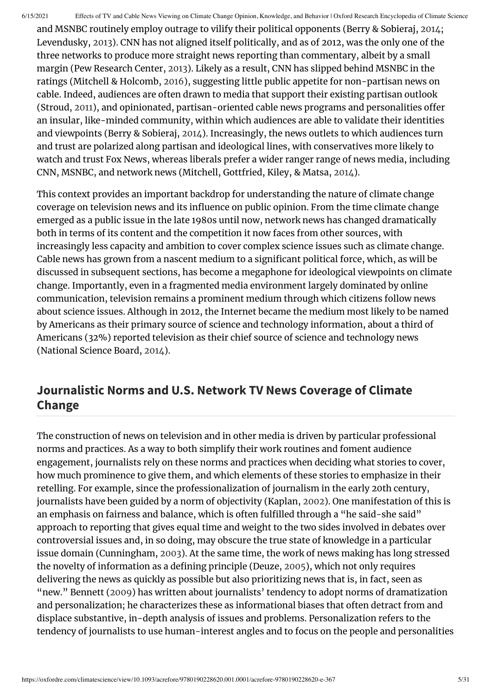and MSNBC routinely employ outrage to vilify their political opponents (Berry & Sobieraj, [2014](#page-23-1); Levendusky, [2013\)](#page-26-2). CNN has not aligned itself politically, and as of 2012, was the only one of the three networks to produce more straight news reporting than commentary, albeit by a small margin (Pew Research Center, [2013\)](#page-28-4). Likely as a result, CNN has slipped behind MSNBC in the ratings (Mitchell & Holcomb, [2016\)](#page-27-3), suggesting little public appetite for non-partisan news on cable. Indeed, audiences are often drawn to media that support their existing partisan outlook (Stroud, [2011\)](#page-29-4), and opinionated, partisan-oriented cable news programs and personalities offer an insular, like-minded community, within which audiences are able to validate their identities and viewpoints (Berry & Sobieraj, [2014\)](#page-23-1). Increasingly, the news outlets to which audiences turn and trust are polarized along partisan and ideological lines, with conservatives more likely to watch and trust Fox News, whereas liberals prefer a wider ranger range of news media, including CNN, MSNBC, and network news (Mitchell, Gottfried, Kiley, & Matsa, [2014](#page-27-4)).

This context provides an important backdrop for understanding the nature of climate change coverage on television news and its influence on public opinion. From the time climate change emerged as a public issue in the late 1980s until now, network news has changed dramatically both in terms of its content and the competition it now faces from other sources, with increasingly less capacity and ambition to cover complex science issues such as climate change. Cable news has grown from a nascent medium to a significant political force, which, as will be discussed in subsequent sections, has become a megaphone for ideological viewpoints on climate change. Importantly, even in a fragmented media environment largely dominated by online communication, television remains a prominent medium through which citizens follow news about science issues. Although in 2012, the Internet became the medium most likely to be named by Americans as their primary source of science and technology information, about a third of Americans (32%) reported television as their chief source of science and technology news (National Science Board, [2014](#page-27-5)).

### **Journalistic Norms and U.S. Network TV News Coverage of Climate Change**

The construction of news on television and in other media is driven by particular professional norms and practices. As a way to both simplify their work routines and foment audience engagement, journalists rely on these norms and practices when deciding what stories to cover, how much prominence to give them, and which elements of these stories to emphasize in their retelling. For example, since the professionalization of journalism in the early 20th century, journalists have been guided by a norm of objectivity (Kaplan, [2002](#page-26-3)). One manifestation of this is an emphasis on fairness and balance, which is often fulfilled through a "he said-she said" approach to reporting that gives equal time and weight to the two sides involved in debates over controversial issues and, in so doing, may obscure the true state of knowledge in a particular issue domain (Cunningham, [2003\)](#page-24-2). At the same time, the work of news making has long stressed the novelty of information as a defining principle (Deuze, [2005](#page-24-3)), which not only requires delivering the news as quickly as possible but also prioritizing news that is, in fact, seen as "new." Bennett [\(2009\)](#page-23-2) has written about journalists' tendency to adopt norms of dramatization and personalization; he characterizes these as informational biases that often detract from and displace substantive, in-depth analysis of issues and problems. Personalization refers to the tendency of journalists to use human-interest angles and to focus on the people and personalities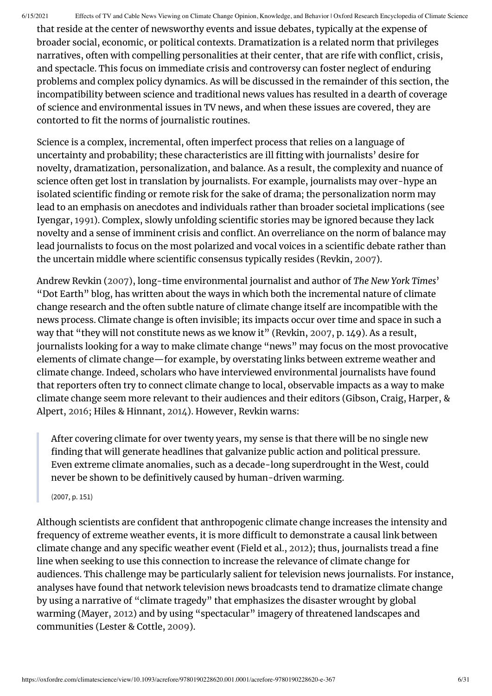that reside at the center of newsworthy events and issue debates, typically at the expense of broader social, economic, or political contexts. Dramatization is a related norm that privileges narratives, often with compelling personalities at their center, that are rife with conflict, crisis, and spectacle. This focus on immediate crisis and controversy can foster neglect of enduring problems and complex policy dynamics. As will be discussed in the remainder of this section, the incompatibility between science and traditional news values has resulted in a dearth of coverage of science and environmental issues in TV news, and when these issues are covered, they are contorted to fit the norms of journalistic routines.

Science is a complex, incremental, often imperfect process that relies on a language of uncertainty and probability; these characteristics are ill fitting with journalists' desire for novelty, dramatization, personalization, and balance. As a result, the complexity and nuance of science often get lost in translation by journalists. For example, journalists may over-hype an isolated scientific finding or remote risk for the sake of drama; the personalization norm may lead to an emphasis on anecdotes and individuals rather than broader societal implications (see Iyengar, [1991\)](#page-25-2). Complex, slowly unfolding scientific stories may be ignored because they lack novelty and a sense of imminent crisis and conflict. An overreliance on the norm of balance may lead journalists to focus on the most polarized and vocal voices in a scientific debate rather than the uncertain middle where scientific consensus typically resides (Revkin, [2007](#page-28-6)).

Andrew Revkin [\(2007](#page-28-6)), long-time environmental journalist and author of *The New York Times*' "Dot Earth" blog, has written about the ways in which both the incremental nature of climate change research and the often subtle nature of climate change itself are incompatible with the news process. Climate change is often invisible; its impacts occur over time and space in such a way that "they will not constitute news as we know it" (Revkin, [2007](#page-28-6), p. 149). As a result, journalists looking for a way to make climate change "news" may focus on the most provocative elements of climate change—for example, by overstating links between extreme weather and climate change. Indeed, scholars who have interviewed environmental journalists have found that reporters often try to connect climate change to local, observable impacts as a way to make climate change seem more relevant to their audiences and their editors (Gibson, Craig, Harper, & Alpert, [2016](#page-25-4); Hiles & Hinnant, [2014\)](#page-25-5). However, Revkin warns:

After covering climate for over twenty years, my sense is that there will be no single new finding that will generate headlines that galvanize public action and political pressure. Even extreme climate anomalies, such as a decade-long superdrought in the West, could never be shown to be definitively caused by human-driven warming.

(2007, p. 151)

Although scientists are confident that anthropogenic climate change increases the intensity and frequency of extreme weather events, it is more difficult to demonstrate a causal link between climate change and any specific weather event (Field et al., [2012](#page-24-4)); thus, journalists tread a fine line when seeking to use this connection to increase the relevance of climate change for audiences. This challenge may be particularly salient for television news journalists. For instance, analyses have found that network television news broadcasts tend to dramatize climate change by using a narrative of "climate tragedy" that emphasizes the disaster wrought by global warming (Mayer, [2012](#page-26-4)) and by using "spectacular" imagery of threatened landscapes and communities (Lester & Cottle, [2009\)](#page-26-5).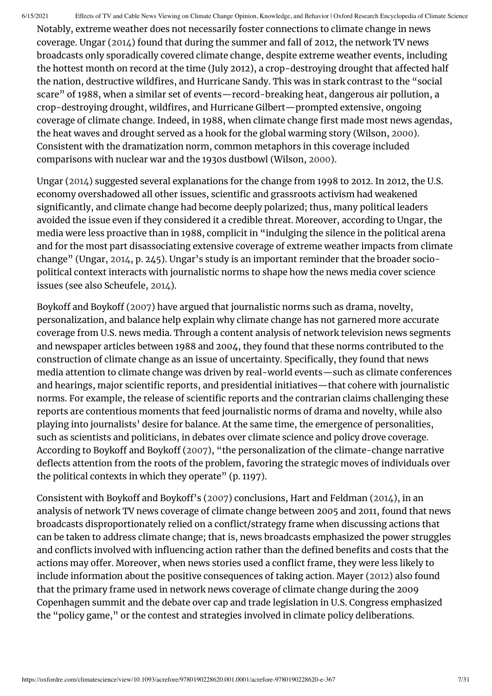Notably, extreme weather does not necessarily foster connections to climate change in news coverage. Ungar ([2014](#page-29-6)) found that during the summer and fall of 2012, the network TV news broadcasts only sporadically covered climate change, despite extreme weather events, including the hottest month on record at the time (July 2012), a crop-destroving drought that affected half the nation, destructive wildfires, and Hurricane Sandy. This was in stark contrast to the "social scare" of 1988, when a similar set of events—record-breaking heat, dangerous air pollution, a crop-destroying drought, wildfires, and Hurricane Gilbert—prompted extensive, ongoing coverage of climate change. Indeed, in 1988, when climate change first made most news agendas, the heat waves and drought served as a hook for the global warming story (Wilson, [2000](#page-29-0)). Consistent with the dramatization norm, common metaphors in this coverage included comparisons with nuclear war and the 1930s dustbowl (Wilson, [2000\)](#page-29-0).

Ungar [\(2014\)](#page-29-6) suggested several explanations for the change from 1998 to 2012. In 2012, the U.S. economy overshadowed all other issues, scientific and grassroots activism had weakened significantly, and climate change had become deeply polarized; thus, many political leaders avoided the issue even if they considered it a credible threat. Moreover, according to Ungar, the media were less proactive than in 1988, complicit in "indulging the silence in the political arena and for the most part disassociating extensive coverage of extreme weather impacts from climate change" (Ungar, [2014,](#page-29-6) p. 245). Ungar's study is an important reminder that the broader sociopolitical context interacts with journalistic norms to shape how the news media cover science issues (see also Scheufele, [2014](#page-28-0)).

Boykoff and Boykoff ([2007](#page-23-3)) have argued that journalistic norms such as drama, novelty, personalization, and balance help explain why climate change has not garnered more accurate coverage from U.S. news media. Through a content analysis of network television news segments and newspaper articles between 1988 and 2004, they found that these norms contributed to the construction of climate change as an issue of uncertainty. Specifically, they found that news media attention to climate change was driven by real-world events—such as climate conferences and hearings, major scientific reports, and presidential initiatives—that cohere with journalistic norms. For example, the release of scientific reports and the contrarian claims challenging these reports are contentious moments that feed journalistic norms of drama and novelty, while also playing into journalists' desire for balance. At the same time, the emergence of personalities, such as scientists and politicians, in debates over climate science and policy drove coverage. According to Boykoff and Boykoff ([2007](#page-23-3)), "the personalization of the climate-change narrative deflects attention from the roots of the problem, favoring the strategic moves of individuals over the political contexts in which they operate" (p. 1197).

Consistent with Boykoff and Boykoff's ([2007\)](#page-23-3) conclusions, Hart and Feldman [\(2014](#page-25-6)), in an analysis of network TV news coverage of climate change between 2005 and 2011, found that news broadcasts disproportionately relied on a conflict/strategy frame when discussing actions that can be taken to address climate change; that is, news broadcasts emphasized the power struggles and conflicts involved with influencing action rather than the defined benefits and costs that the actions may offer. Moreover, when news stories used a conflict frame, they were less likely to include information about the positive consequences of taking action. Mayer [\(2012](#page-26-4)) also found that the primary frame used in network news coverage of climate change during the 2009 Copenhagen summit and the debate over cap and trade legislation in U.S. Congress emphasized the "policy game," or the contest and strategies involved in climate policy deliberations.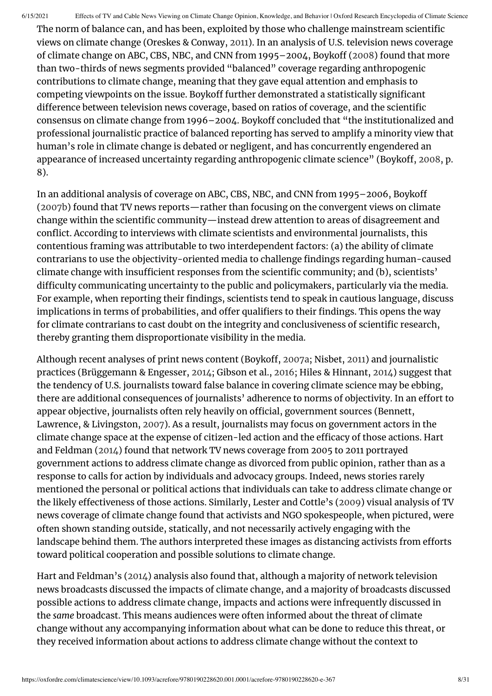The norm of balance can, and has been, exploited by those who challenge mainstream scientific views on climate change (Oreskes & Conway, [2011\)](#page-27-6). In an analysis of U.S. television news coverage of climate change on ABC, CBS, NBC, and CNN from 1995–2004, Boykoff [\(2008\)](#page-23-4) found that more than two-thirds of news segments provided "balanced" coverage regarding anthropogenic contributions to climate change, meaning that they gave equal attention and emphasis to competing viewpoints on the issue. Boykoff further demonstrated a statistically significant difference between television news coverage, based on ratios of coverage, and the scientific consensus on climate change from 1996–2004. Boykoff concluded that "the institutionalized and professional journalistic practice of balanced reporting has served to amplify a minority view that human's role in climate change is debated or negligent, and has concurrently engendered an appearance of increased uncertainty regarding anthropogenic climate science" (Boykoff, [2008](#page-23-4), p. 8).

In an additional analysis of coverage on ABC, CBS, NBC, and CNN from 1995–2006, Boykoff [\(2007b\)](#page-23-5) found that TV news reports—rather than focusing on the convergent views on climate change within the scientific community—instead drew attention to areas of disagreement and conflict. According to interviews with climate scientists and environmental journalists, this contentious framing was attributable to two interdependent factors: (a) the ability of climate contrarians to use the objectivity-oriented media to challenge findings regarding human-caused climate change with insufficient responses from the scientific community; and (b), scientists' difficulty communicating uncertainty to the public and policymakers, particularly via the media. For example, when reporting their findings, scientists tend to speak in cautious language, discuss implications in terms of probabilities, and offer qualifiers to their findings. This opens the way for climate contrarians to cast doubt on the integrity and conclusiveness of scientific research, thereby granting them disproportionate visibility in the media.

Although recent analyses of print news content (Boykoff, [2007a](#page-23-6); Nisbet, [2011\)](#page-27-7) and journalistic practices (Brüggemann & Engesser, [2014;](#page-23-7) Gibson et al., [2016](#page-25-4); Hiles & Hinnant, [2014\)](#page-25-5) suggest that the tendency of U.S. journalists toward false balance in covering climate science may be ebbing, there are additional consequences of journalists' adherence to norms of objectivity. In an effort to appear objective, journalists often rely heavily on official, government sources (Bennett, Lawrence, & Livingston, [2007\)](#page-23-8). As a result, journalists may focus on government actors in the climate change space at the expense of citizen-led action and the efficacy of those actions. Hart and Feldman [\(2014](#page-25-6)) found that network TV news coverage from 2005 to 2011 portrayed government actions to address climate change as divorced from public opinion, rather than as a response to calls for action by individuals and advocacy groups. Indeed, news stories rarely mentioned the personal or political actions that individuals can take to address climate change or the likely effectiveness of those actions. Similarly, Lester and Cottle's [\(2009\)](#page-26-5) visual analysis of TV news coverage of climate change found that activists and NGO spokespeople, when pictured, were often shown standing outside, statically, and not necessarily actively engaging with the landscape behind them. The authors interpreted these images as distancing activists from efforts toward political cooperation and possible solutions to climate change.

Hart and Feldman's ([2014\)](#page-25-6) analysis also found that, although a majority of network television news broadcasts discussed the impacts of climate change, and a majority of broadcasts discussed possible actions to address climate change, impacts and actions were infrequently discussed in the *same* broadcast. This means audiences were often informed about the threat of climate change without any accompanying information about what can be done to reduce this threat, or they received information about actions to address climate change without the context to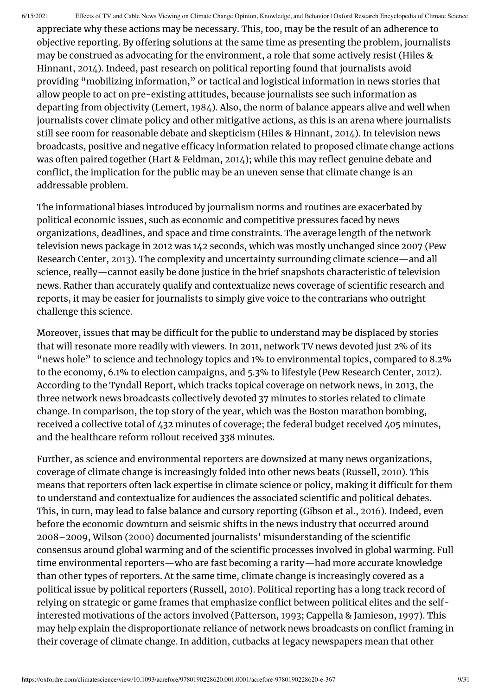appreciate why these actions may be necessary. This, too, may be the result of an adherence to objective reporting. By offering solutions at the same time as presenting the problem, journalists may be construed as advocating for the environment, a role that some actively resist (Hiles & Hinnant, [2014\)](#page-25-5). Indeed, past research on political reporting found that journalists avoid providing "mobilizing information," or tactical and logistical information in news stories that allow people to act on pre-existing attitudes, because journalists see such information as departing from objectivity (Lemert, [1984\)](#page-26-6). Also, the norm of balance appears alive and well when journalists cover climate policy and other mitigative actions, as this is an arena where journalists still see room for reasonable debate and skepticism (Hiles & Hinnant, [2014](#page-25-5)). In television news broadcasts, positive and negative efficacy information related to proposed climate change actions was often paired together (Hart & Feldman, [2014\)](#page-25-6); while this may reflect genuine debate and conflict, the implication for the public may be an uneven sense that climate change is an addressable problem.

The informational biases introduced by journalism norms and routines are exacerbated by political economic issues, such as economic and competitive pressures faced by news organizations, deadlines, and space and time constraints. The average length of the network television news package in 2012 was 142 seconds, which was mostly unchanged since 2007 (Pew Research Center, [2013](#page-28-4)). The complexity and uncertainty surrounding climate science—and all science, really—cannot easily be done justice in the brief snapshots characteristic of television news. Rather than accurately qualify and contextualize news coverage of scientific research and reports, it may be easier for journalists to simply give voice to the contrarians who outright challenge this science.

Moreover, issues that may be difficult for the public to understand may be displaced by stories that will resonate more readily with viewers. In 2011, network TV news devoted just 2% of its "news hole" to science and technology topics and 1% to environmental topics, compared to 8.2% to the economy, 6.1% to election campaigns, and 5.3% to lifestyle (Pew Research Center, [2012](#page-28-7)). According to the Tyndall Report, which tracks topical coverage on network news, in 2013, the three network news broadcasts collectively devoted 37 minutes to stories related to climate change. In comparison, the top story of the year, which was the Boston marathon bombing, received a collective total of 432 minutes of coverage; the federal budget received 405 minutes, and the healthcare reform rollout received 338 minutes.

Further, as science and environmental reporters are downsized at many news organizations, coverage of climate change is increasingly folded into other news beats (Russell, [2010](#page-28-8)). This means that reporters often lack expertise in climate science or policy, making it difficult for them to understand and contextualize for audiences the associated scientific and political debates. This, in turn, may lead to false balance and cursory reporting (Gibson et al., [2016\)](#page-25-4). Indeed, even before the economic downturn and seismic shifts in the news industry that occurred around 2008–2009, Wilson [\(2000](#page-29-0)) documented journalists' misunderstanding of the scientific consensus around global warming and of the scientific processes involved in global warming. Full time environmental reporters—who are fast becoming a rarity—had more accurate knowledge than other types of reporters. At the same time, climate change is increasingly covered as a political issue by political reporters (Russell, [2010\)](#page-28-8). Political reporting has a long track record of relying on strategic or game frames that emphasize conflict between political elites and the selfinterested motivations of the actors involved (Patterson, [1993;](#page-28-9) Cappella & Jamieson, [1997](#page-24-5)). This may help explain the disproportionate reliance of network news broadcasts on conflict framing in their coverage of climate change. In addition, cutbacks at legacy newspapers mean that other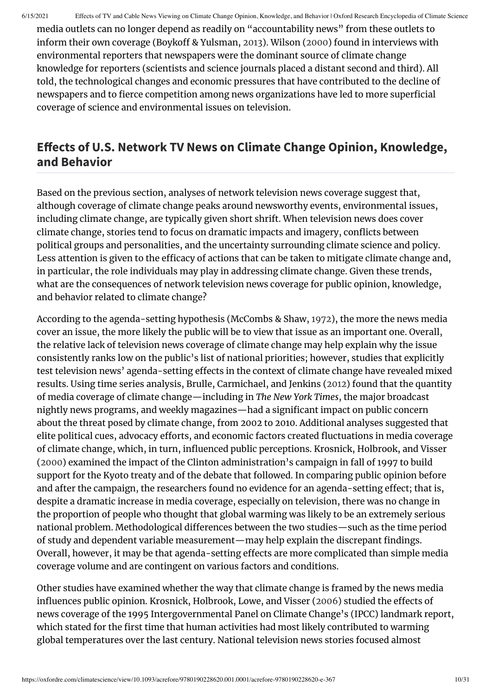media outlets can no longer depend as readily on "accountability news" from these outlets to inform their own coverage (Boykoff & Yulsman, [2013](#page-23-9)). Wilson ([2000](#page-29-0)) found in interviews with environmental reporters that newspapers were the dominant source of climate change knowledge for reporters (scientists and science journals placed a distant second and third). All told, the technological changes and economic pressures that have contributed to the decline of newspapers and to fierce competition among news organizations have led to more superficial coverage of science and environmental issues on television.

#### **Effects of U.S. Network TV News on Climate Change Opinion, Knowledge, and Behavior**

Based on the previous section, analyses of network television news coverage suggest that, although coverage of climate change peaks around newsworthy events, environmental issues, including climate change, are typically given short shrift. When television news does cover climate change, stories tend to focus on dramatic impacts and imagery, conflicts between political groups and personalities, and the uncertainty surrounding climate science and policy. Less attention is given to the efficacy of actions that can be taken to mitigate climate change and, in particular, the role individuals may play in addressing climate change. Given these trends, what are the consequences of network television news coverage for public opinion, knowledge, and behavior related to climate change?

According to the agenda-setting hypothesis (McCombs & Shaw, [1972](#page-27-8)), the more the news media cover an issue, the more likely the public will be to view that issue as an important one. Overall, the relative lack of television news coverage of climate change may help explain why the issue consistently ranks low on the public's list of national priorities; however, studies that explicitly test television news' agenda-setting effects in the context of climate change have revealed mixed results. Using time series analysis, Brulle, Carmichael, and Jenkins [\(2012](#page-23-10)) found that the quantity of media coverage of climate change—including in *The New York Times*, the major broadcast nightly news programs, and weekly magazines—had a significant impact on public concern about the threat posed by climate change, from 2002 to 2010. Additional analyses suggested that elite political cues, advocacy efforts, and economic factors created fluctuations in media coverage of climate change, which, in turn, influenced public perceptions. Krosnick, Holbrook, and Visser [\(2000\)](#page-26-7) examined the impact of the Clinton administration's campaign in fall of 1997 to build support for the Kyoto treaty and of the debate that followed. In comparing public opinion before and after the campaign, the researchers found no evidence for an agenda-setting effect; that is, despite a dramatic increase in media coverage, especially on television, there was no change in the proportion of people who thought that global warming was likely to be an extremely serious national problem. Methodological differences between the two studies—such as the time period of study and dependent variable measurement—may help explain the discrepant findings. Overall, however, it may be that agenda-setting effects are more complicated than simple media coverage volume and are contingent on various factors and conditions.

Other studies have examined whether the way that climate change is framed by the news media influences public opinion. Krosnick, Holbrook, Lowe, and Visser ([2006](#page-26-8)) studied the effects of news coverage of the 1995 Intergovernmental Panel on Climate Change's (IPCC) landmark report, which stated for the first time that human activities had most likely contributed to warming global temperatures over the last century. National television news stories focused almost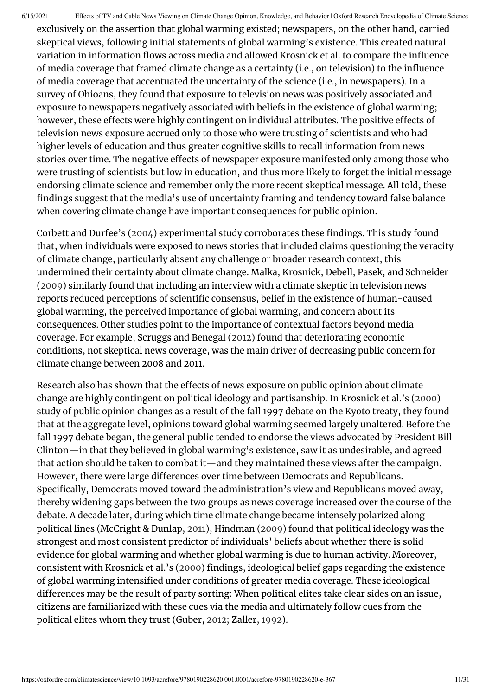exclusively on the assertion that global warming existed; newspapers, on the other hand, carried skeptical views, following initial statements of global warming's existence. This created natural variation in information flows across media and allowed Krosnick et al. to compare the influence of media coverage that framed climate change as a certainty (i.e., on television) to the influence of media coverage that accentuated the uncertainty of the science (i.e., in newspapers). In a survey of Ohioans, they found that exposure to television news was positively associated and exposure to newspapers negatively associated with beliefs in the existence of global warming; however, these effects were highly contingent on individual attributes. The positive effects of television news exposure accrued only to those who were trusting of scientists and who had higher levels of education and thus greater cognitive skills to recall information from news stories over time. The negative effects of newspaper exposure manifested only among those who were trusting of scientists but low in education, and thus more likely to forget the initial message endorsing climate science and remember only the more recent skeptical message. All told, these findings suggest that the media's use of uncertainty framing and tendency toward false balance when covering climate change have important consequences for public opinion.

Corbett and Durfee's [\(2004](#page-24-6)) experimental study corroborates these findings. This study found that, when individuals were exposed to news stories that included claims questioning the veracity of climate change, particularly absent any challenge or broader research context, this undermined their certainty about climate change. Malka, Krosnick, Debell, Pasek, and Schneider [\(2009\)](#page-26-9) similarly found that including an interview with a climate skeptic in television news reports reduced perceptions of scientific consensus, belief in the existence of human-caused global warming, the perceived importance of global warming, and concern about its consequences. Other studies point to the importance of contextual factors beyond media coverage. For example, Scruggs and Benegal ([2012\)](#page-28-10) found that deteriorating economic conditions, not skeptical news coverage, was the main driver of decreasing public concern for climate change between 2008 and 2011.

Research also has shown that the effects of news exposure on public opinion about climate change are highly contingent on political ideology and partisanship. In Krosnick et al.'s [\(2000\)](#page-26-7) study of public opinion changes as a result of the fall 1997 debate on the Kyoto treaty, they found that at the aggregate level, opinions toward global warming seemed largely unaltered. Before the fall 1997 debate began, the general public tended to endorse the views advocated by President Bill Clinton—in that they believed in global warming's existence, saw it as undesirable, and agreed that action should be taken to combat it—and they maintained these views after the campaign. However, there were large differences over time between Democrats and Republicans. Specifically, Democrats moved toward the administration's view and Republicans moved away, thereby widening gaps between the two groups as news coverage increased over the course of the debate. A decade later, during which time climate change became intensely polarized along political lines (McCright & Dunlap, [2011\)](#page-27-1), Hindman [\(2009](#page-25-7)) found that political ideology was the strongest and most consistent predictor of individuals' beliefs about whether there is solid evidence for global warming and whether global warming is due to human activity. Moreover, consistent with Krosnick et al.'s ([2000\)](#page-26-7) findings, ideological belief gaps regarding the existence of global warming intensified under conditions of greater media coverage. These ideological differences may be the result of party sorting: When political elites take clear sides on an issue, citizens are familiarized with these cues via the media and ultimately follow cues from the political elites whom they trust (Guber, [2012](#page-25-8); Zaller, [1992](#page-29-2)).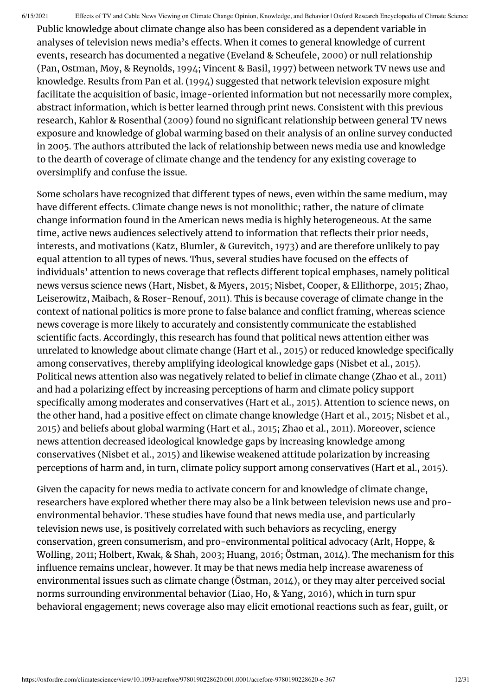Public knowledge about climate change also has been considered as a dependent variable in analyses of television news media's effects. When it comes to general knowledge of current events, research has documented a negative (Eveland & Scheufele, [2000](#page-24-7)) or null relationship (Pan, Ostman, Moy, & Reynolds, [1994](#page-28-11); Vincent & Basil, [1997\)](#page-29-7) between network TV news use and knowledge. Results from Pan et al. ([1994](#page-28-11)) suggested that network television exposure might facilitate the acquisition of basic, image-oriented information but not necessarily more complex, abstract information, which is better learned through print news. Consistent with this previous research, Kahlor & Rosenthal ([2009\)](#page-26-10) found no significant relationship between general TV news exposure and knowledge of global warming based on their analysis of an online survey conducted in 2005. The authors attributed the lack of relationship between news media use and knowledge to the dearth of coverage of climate change and the tendency for any existing coverage to oversimplify and confuse the issue.

Some scholars have recognized that different types of news, even within the same medium, may have different effects. Climate change news is not monolithic; rather, the nature of climate change information found in the American news media is highly heterogeneous. At the same time, active news audiences selectively attend to information that reflects their prior needs, interests, and motivations (Katz, Blumler, & Gurevitch, [1973\)](#page-26-11) and are therefore unlikely to pay equal attention to all types of news. Thus, several studies have focused on the effects of individuals' attention to news coverage that reflects different topical emphases, namely political news versus science news (Hart, Nisbet, & Myers, [2015](#page-25-9); Nisbet, Cooper, & Ellithorpe, [2015](#page-27-9); Zhao, Leiserowitz, Maibach, & Roser-Renouf, [2011\)](#page-29-8). This is because coverage of climate change in the context of national politics is more prone to false balance and conflict framing, whereas science news coverage is more likely to accurately and consistently communicate the established scientific facts. Accordingly, this research has found that political news attention either was unrelated to knowledge about climate change (Hart et al., [2015\)](#page-25-9) or reduced knowledge specifically among conservatives, thereby amplifying ideological knowledge gaps (Nisbet et al., [2015\)](#page-25-9). Political news attention also was negatively related to belief in climate change (Zhao et al., [2011\)](#page-29-8) and had a polarizing effect by increasing perceptions of harm and climate policy support specifically among moderates and conservatives (Hart et al., [2015\)](#page-25-9). Attention to science news, on the other hand, had a positive effect on climate change knowledge (Hart et al., [2015](#page-25-9); Nisbet et al., [2015](#page-25-9)) and beliefs about global warming (Hart et al., [2015](#page-25-9); Zhao et al., [2011\)](#page-29-8). Moreover, science news attention decreased ideological knowledge gaps by increasing knowledge among conservatives (Nisbet et al., [2015](#page-25-9)) and likewise weakened attitude polarization by increasing perceptions of harm and, in turn, climate policy support among conservatives (Hart et al., [2015\)](#page-25-9).

Given the capacity for news media to activate concern for and knowledge of climate change, researchers have explored whether there may also be a link between television news use and proenvironmental behavior. These studies have found that news media use, and particularly television news use, is positively correlated with such behaviors as recycling, energy conservation, green consumerism, and pro-environmental political advocacy (Arlt, Hoppe, & Wolling, [2011](#page-23-11); Holbert, Kwak, & Shah, [2003](#page-25-10); Huang, [2016;](#page-25-11) Östman, [2014](#page-28-12)). The mechanism for this influence remains unclear, however. It may be that news media help increase awareness of environmental issues such as climate change (Östman, [2014\)](#page-28-12), or they may alter perceived social norms surrounding environmental behavior (Liao, Ho, & Yang, [2016](#page-26-12)), which in turn spur behavioral engagement; news coverage also may elicit emotional reactions such as fear, guilt, or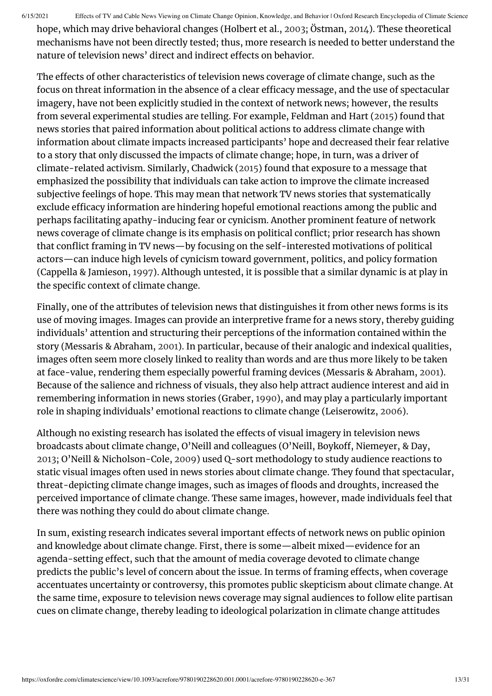hope, which may drive behavioral changes (Holbert et al., [2003;](#page-25-10) Östman, [2014](#page-28-12)). These theoretical mechanisms have not been directly tested; thus, more research is needed to better understand the nature of television news' direct and indirect effects on behavior.

The effects of other characteristics of television news coverage of climate change, such as the focus on threat information in the absence of a clear efficacy message, and the use of spectacular imagery, have not been explicitly studied in the context of network news; however, the results from several experimental studies are telling. For example, Feldman and Hart ([2015](#page-24-8)) found that news stories that paired information about political actions to address climate change with information about climate impacts increased participants' hope and decreased their fear relative to a story that only discussed the impacts of climate change; hope, in turn, was a driver of climate-related activism. Similarly, Chadwick [\(2015\)](#page-24-9) found that exposure to a message that emphasized the possibility that individuals can take action to improve the climate increased subjective feelings of hope. This may mean that network TV news stories that systematically exclude efficacy information are hindering hopeful emotional reactions among the public and perhaps facilitating apathy-inducing fear or cynicism. Another prominent feature of network news coverage of climate change is its emphasis on political conflict; prior research has shown that conflict framing in TV news—by focusing on the self-interested motivations of political actors—can induce high levels of cynicism toward government, politics, and policy formation (Cappella & Jamieson, [1997](#page-24-5)). Although untested, it is possible that a similar dynamic is at play in the specific context of climate change.

Finally, one of the attributes of television news that distinguishes it from other news forms is its use of moving images. Images can provide an interpretive frame for a news story, thereby guiding individuals' attention and structuring their perceptions of the information contained within the story (Messaris & Abraham, [2001](#page-27-10)). In particular, because of their analogic and indexical qualities, images often seem more closely linked to reality than words and are thus more likely to be taken at face-value, rendering them especially powerful framing devices (Messaris & Abraham, [2001](#page-27-10)). Because of the salience and richness of visuals, they also help attract audience interest and aid in remembering information in news stories (Graber, [1990](#page-25-12)), and may play a particularly important role in shaping individuals' emotional reactions to climate change (Leiserowitz, [2006](#page-26-13)).

Although no existing research has isolated the effects of visual imagery in television news broadcasts about climate change, O'Neill and colleagues (O'Neill, Boykoff, Niemeyer, & Day, [2013](#page-27-11); O'Neill & Nicholson-Cole, [2009\)](#page-27-12) used Q-sort methodology to study audience reactions to static visual images often used in news stories about climate change. They found that spectacular, threat-depicting climate change images, such as images of floods and droughts, increased the perceived importance of climate change. These same images, however, made individuals feel that there was nothing they could do about climate change.

In sum, existing research indicates several important effects of network news on public opinion and knowledge about climate change. First, there is some—albeit mixed—evidence for an agenda-setting effect, such that the amount of media coverage devoted to climate change predicts the public's level of concern about the issue. In terms of framing effects, when coverage accentuates uncertainty or controversy, this promotes public skepticism about climate change. At the same time, exposure to television news coverage may signal audiences to follow elite partisan cues on climate change, thereby leading to ideological polarization in climate change attitudes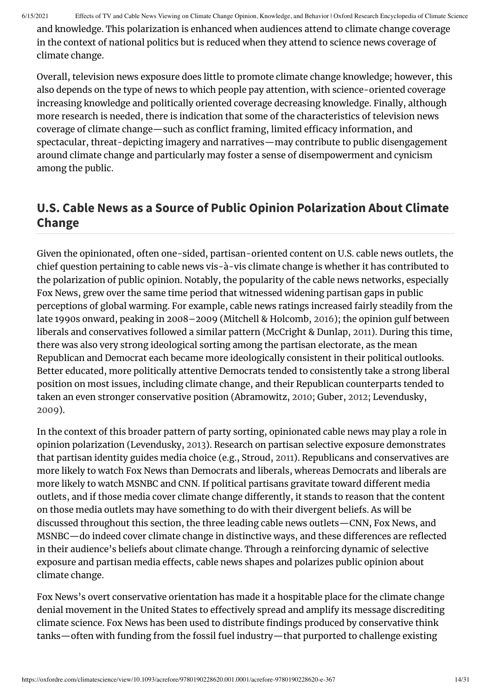and knowledge. This polarization is enhanced when audiences attend to climate change coverage in the context of national politics but is reduced when they attend to science news coverage of climate change.

Overall, television news exposure does little to promote climate change knowledge; however, this also depends on the type of news to which people pay attention, with science-oriented coverage increasing knowledge and politically oriented coverage decreasing knowledge. Finally, although more research is needed, there is indication that some of the characteristics of television news coverage of climate change—such as conflict framing, limited efficacy information, and spectacular, threat-depicting imagery and narratives—may contribute to public disengagement around climate change and particularly may foster a sense of disempowerment and cynicism among the public.

## **U.S. Cable News as a Source of Public Opinion Polarization About Climate Change**

Given the opinionated, often one-sided, partisan-oriented content on U.S. cable news outlets, the chief question pertaining to cable news vis-à-vis climate change is whether it has contributed to the polarization of public opinion. Notably, the popularity of the cable news networks, especially Fox News, grew over the same time period that witnessed widening partisan gaps in public perceptions of global warming. For example, cable news ratings increased fairly steadily from the late 1990s onward, peaking in 2008–2009 (Mitchell & Holcomb, [2016](#page-27-3)); the opinion gulf between liberals and conservatives followed a similar pattern (McCright & Dunlap, [2011](#page-27-1)). During this time, there was also very strong ideological sorting among the partisan electorate, as the mean Republican and Democrat each became more ideologically consistent in their political outlooks. Better educated, more politically attentive Democrats tended to consistently take a strong liberal position on most issues, including climate change, and their Republican counterparts tended to taken an even stronger conservative position (Abramowitz, [2010;](#page-22-0) Guber, [2012](#page-25-8); Levendusky, [2009](#page-26-14)).

In the context of this broader pattern of party sorting, opinionated cable news may play a role in opinion polarization (Levendusky, [2013](#page-26-2)). Research on partisan selective exposure demonstrates that partisan identity guides media choice (e.g., Stroud, [2011\)](#page-29-4). Republicans and conservatives are more likely to watch Fox News than Democrats and liberals, whereas Democrats and liberals are more likely to watch MSNBC and CNN. If political partisans gravitate toward different media outlets, and if those media cover climate change differently, it stands to reason that the content on those media outlets may have something to do with their divergent beliefs. As will be discussed throughout this section, the three leading cable news outlets—CNN, Fox News, and MSNBC—do indeed cover climate change in distinctive ways, and these differences are reflected in their audience's beliefs about climate change. Through a reinforcing dynamic of selective exposure and partisan media effects, cable news shapes and polarizes public opinion about climate change.

Fox News's overt conservative orientation has made it a hospitable place for the climate change denial movement in the United States to effectively spread and amplify its message discrediting climate science. Fox News has been used to distribute findings produced by conservative think tanks—often with funding from the fossil fuel industry—that purported to challenge existing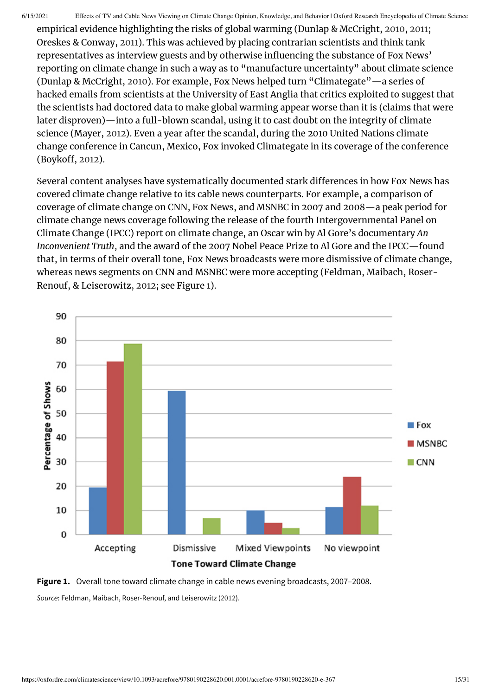empirical evidence highlighting the risks of global warming (Dunlap & McCright, [2010](#page-24-10), [2011](#page-24-11); Oreskes & Conway, [2011](#page-27-6)). This was achieved by placing contrarian scientists and think tank representatives as interview guests and by otherwise influencing the substance of Fox News' reporting on climate change in such a way as to "manufacture uncertainty" about climate science (Dunlap & McCright, [2010\)](#page-24-10). For example, Fox News helped turn "Climategate"—a series of hacked emails from scientists at the University of East Anglia that critics exploited to suggest that the scientists had doctored data to make global warming appear worse than it is (claims that were later disproven)—into a full-blown scandal, using it to cast doubt on the integrity of climate science (Mayer, [2012](#page-26-4)). Even a year after the scandal, during the 2010 United Nations climate change conference in Cancun, Mexico, Fox invoked Climategate in its coverage of the conference (Boykoff, [2012\)](#page-23-12).

Several content analyses have systematically documented stark differences in how Fox News has covered climate change relative to its cable news counterparts. For example, a comparison of coverage of climate change on CNN, Fox News, and MSNBC in 2007 and 2008—a peak period for climate change news coverage following the release of the fourth Intergovernmental Panel on Climate Change (IPCC) report on climate change, an Oscar win by Al Gore's documentary *An Inconvenient Truth*, and the award of the 2007 Nobel Peace Prize to Al Gore and the IPCC—found that, in terms of their overall tone, Fox News broadcasts were more dismissive of climate change, whereas news segments on CNN and MSNBC were more accepting (Feldman, Maibach, Roser-Renouf, & Leiserowitz, [2012;](#page-24-12) see Figure [1\)](#page-14-0).

<span id="page-14-0"></span>

**Figure 1.** Overall tone toward climate change in cable news evening broadcasts, 2007–2008.

*Source*: Feldman, Maibach, Roser-Renouf, and Leiserowitz [\(2012](#page-24-12)).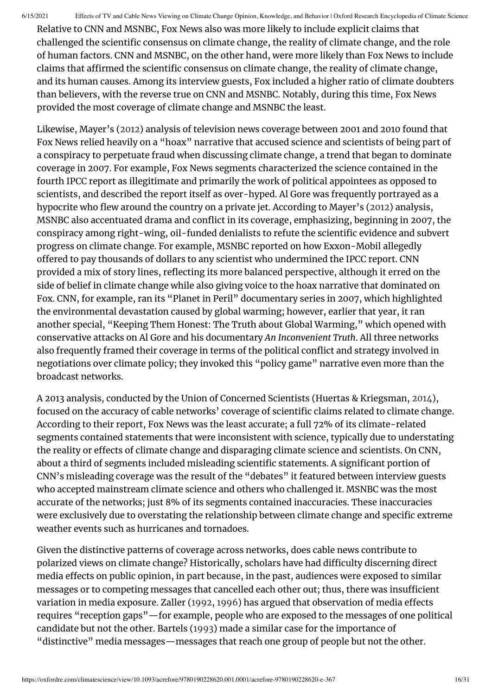Relative to CNN and MSNBC, Fox News also was more likely to include explicit claims that challenged the scientific consensus on climate change, the reality of climate change, and the role of human factors. CNN and MSNBC, on the other hand, were more likely than Fox News to include claims that affirmed the scientific consensus on climate change, the reality of climate change, and its human causes. Among its interview guests, Fox included a higher ratio of climate doubters than believers, with the reverse true on CNN and MSNBC. Notably, during this time, Fox News provided the most coverage of climate change and MSNBC the least.

Likewise, Mayer's ([2012\)](#page-26-4) analysis of television news coverage between 2001 and 2010 found that Fox News relied heavily on a "hoax" narrative that accused science and scientists of being part of a conspiracy to perpetuate fraud when discussing climate change, a trend that began to dominate coverage in 2007. For example, Fox News segments characterized the science contained in the fourth IPCC report as illegitimate and primarily the work of political appointees as opposed to scientists, and described the report itself as over-hyped. Al Gore was frequently portrayed as a hypocrite who flew around the country on a private jet. According to Mayer's ([2012](#page-26-4)) analysis, MSNBC also accentuated drama and conflict in its coverage, emphasizing, beginning in 2007, the conspiracy among right-wing, oil-funded denialists to refute the scientific evidence and subvert progress on climate change. For example, MSNBC reported on how Exxon-Mobil allegedly offered to pay thousands of dollars to any scientist who undermined the IPCC report. CNN provided a mix of story lines, reflecting its more balanced perspective, although it erred on the side of belief in climate change while also giving voice to the hoax narrative that dominated on Fox. CNN, for example, ran its "Planet in Peril" documentary series in 2007, which highlighted the environmental devastation caused by global warming; however, earlier that year, it ran another special, "Keeping Them Honest: The Truth about Global Warming," which opened with conservative attacks on Al Gore and his documentary *An Inconvenient Truth*. All three networks also frequently framed their coverage in terms of the political conflict and strategy involved in negotiations over climate policy; they invoked this "policy game" narrative even more than the broadcast networks.

A 2013 analysis, conducted by the Union of Concerned Scientists (Huertas & Kriegsman, [2014](#page-25-13)), focused on the accuracy of cable networks' coverage of scientific claims related to climate change. According to their report, Fox News was the least accurate; a full 72% of its climate-related segments contained statements that were inconsistent with science, typically due to understating the reality or effects of climate change and disparaging climate science and scientists. On CNN, about a third of segments included misleading scientific statements. A significant portion of CNN's misleading coverage was the result of the "debates" it featured between interview guests who accepted mainstream climate science and others who challenged it. MSNBC was the most accurate of the networks; just 8% of its segments contained inaccuracies. These inaccuracies were exclusively due to overstating the relationship between climate change and specific extreme weather events such as hurricanes and tornadoes.

Given the distinctive patterns of coverage across networks, does cable news contribute to polarized views on climate change? Historically, scholars have had difficulty discerning direct media effects on public opinion, in part because, in the past, audiences were exposed to similar messages or to competing messages that cancelled each other out; thus, there was insufficient variation in media exposure. Zaller ([1992,](#page-29-2) [1996](#page-29-3)) has argued that observation of media effects requires "reception gaps"—for example, people who are exposed to the messages of one political candidate but not the other. Bartels [\(1993\)](#page-23-13) made a similar case for the importance of "distinctive" media messages—messages that reach one group of people but not the other.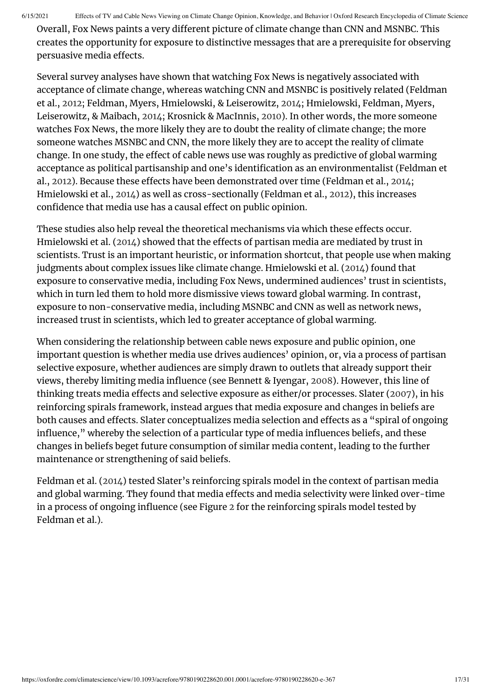Overall, Fox News paints a very different picture of climate change than CNN and MSNBC. This creates the opportunity for exposure to distinctive messages that are a prerequisite for observing persuasive media effects.

Several survey analyses have shown that watching Fox News is negatively associated with acceptance of climate change, whereas watching CNN and MSNBC is positively related (Feldman et al., [2012](#page-24-12); Feldman, Myers, Hmielowski, & Leiserowitz, [2014;](#page-24-13) Hmielowski, Feldman, Myers, Leiserowitz, & Maibach, [2014;](#page-25-14) Krosnick & MacInnis, [2010\)](#page-26-15). In other words, the more someone watches Fox News, the more likely they are to doubt the reality of climate change; the more someone watches MSNBC and CNN, the more likely they are to accept the reality of climate change. In one study, the effect of cable news use was roughly as predictive of global warming acceptance as political partisanship and one's identification as an environmentalist (Feldman et al., [2012\)](#page-24-12). Because these effects have been demonstrated over time (Feldman et al., [2014](#page-24-13); Hmielowski et al., [2014](#page-25-14)) as well as cross-sectionally (Feldman et al., [2012](#page-24-12)), this increases confidence that media use has a causal effect on public opinion.

These studies also help reveal the theoretical mechanisms via which these effects occur. Hmielowski et al. ([2014](#page-25-14)) showed that the effects of partisan media are mediated by trust in scientists. Trust is an important heuristic, or information shortcut, that people use when making judgments about complex issues like climate change. Hmielowski et al. [\(2014\)](#page-25-14) found that exposure to conservative media, including Fox News, undermined audiences' trust in scientists, which in turn led them to hold more dismissive views toward global warming. In contrast, exposure to non-conservative media, including MSNBC and CNN as well as network news, increased trust in scientists, which led to greater acceptance of global warming.

When considering the relationship between cable news exposure and public opinion, one important question is whether media use drives audiences' opinion, or, via a process of partisan selective exposure, whether audiences are simply drawn to outlets that already support their views, thereby limiting media influence (see Bennett & Iyengar, [2008\)](#page-23-14). However, this line of thinking treats media effects and selective exposure as either/or processes. Slater ([2007\)](#page-29-9), in his reinforcing spirals framework, instead argues that media exposure and changes in beliefs are both causes and effects. Slater conceptualizes media selection and effects as a "spiral of ongoing influence," whereby the selection of a particular type of media influences beliefs, and these changes in beliefs beget future consumption of similar media content, leading to the further maintenance or strengthening of said beliefs.

Feldman et al. ([2014\)](#page-24-13) tested Slater's reinforcing spirals model in the context of partisan media and global warming. They found that media effects and media selectivity were linked over-time in a process of ongoing influence (see Figure [2](#page-17-0) for the reinforcing spirals model tested by Feldman et al.).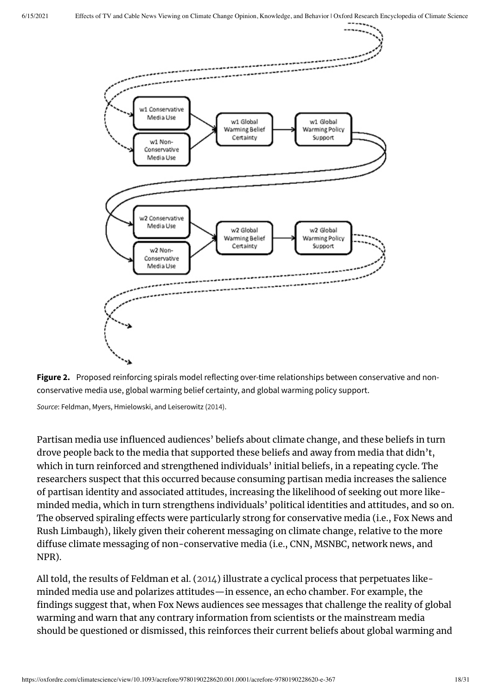<span id="page-17-0"></span>



*Source*: Feldman, Myers, Hmielowski, and Leiserowitz [\(2014](#page-24-13)).

Partisan media use influenced audiences' beliefs about climate change, and these beliefs in turn drove people back to the media that supported these beliefs and away from media that didn't, which in turn reinforced and strengthened individuals' initial beliefs, in a repeating cycle. The researchers suspect that this occurred because consuming partisan media increases the salience of partisan identity and associated attitudes, increasing the likelihood of seeking out more likeminded media, which in turn strengthens individuals' political identities and attitudes, and so on. The observed spiraling effects were particularly strong for conservative media (i.e., Fox News and Rush Limbaugh), likely given their coherent messaging on climate change, relative to the more diffuse climate messaging of non-conservative media (i.e., CNN, MSNBC, network news, and NPR).

All told, the results of Feldman et al. ([2014\)](#page-24-13) illustrate a cyclical process that perpetuates likeminded media use and polarizes attitudes—in essence, an echo chamber. For example, the findings suggest that, when Fox News audiences see messages that challenge the reality of global warming and warn that any contrary information from scientists or the mainstream media should be questioned or dismissed, this reinforces their current beliefs about global warming and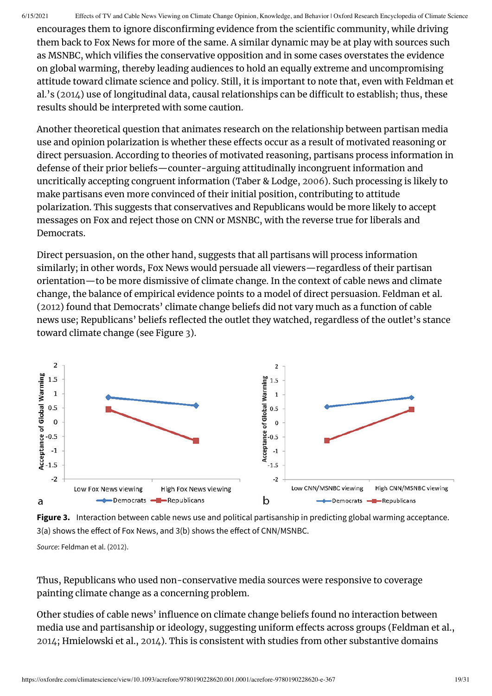encourages them to ignore disconfirming evidence from the scientific community, while driving them back to Fox News for more of the same. A similar dynamic may be at play with sources such as MSNBC, which vilifies the conservative opposition and in some cases overstates the evidence on global warming, thereby leading audiences to hold an equally extreme and uncompromising attitude toward climate science and policy. Still, it is important to note that, even with Feldman et al.'s [\(2014\)](#page-24-13) use of longitudinal data, causal relationships can be difficult to establish; thus, these results should be interpreted with some caution.

Another theoretical question that animates research on the relationship between partisan media use and opinion polarization is whether these effects occur as a result of motivated reasoning or direct persuasion. According to theories of motivated reasoning, partisans process information in defense of their prior beliefs—counter-arguing attitudinally incongruent information and uncritically accepting congruent information (Taber & Lodge, [2006\)](#page-29-10). Such processing is likely to make partisans even more convinced of their initial position, contributing to attitude polarization. This suggests that conservatives and Republicans would be more likely to accept messages on Fox and reject those on CNN or MSNBC, with the reverse true for liberals and Democrats.

Direct persuasion, on the other hand, suggests that all partisans will process information similarly; in other words, Fox News would persuade all viewers—regardless of their partisan orientation—to be more dismissive of climate change. In the context of cable news and climate change, the balance of empirical evidence points to a model of direct persuasion. Feldman et al. [\(2012](#page-24-12)) found that Democrats' climate change beliefs did not vary much as a function of cable news use; Republicans' beliefs reflected the outlet they watched, regardless of the outlet's stance toward climate change (see Figure [3](#page-18-0)).

<span id="page-18-0"></span>

**Figure 3.** Interaction between cable news use and political partisanship in predicting global warming acceptance. 3(a) shows the effect of Fox News, and 3(b) shows the effect of CNN/MSNBC.

*Source*: Feldman et al. ([2012\)](#page-24-12).

Thus, Republicans who used non-conservative media sources were responsive to coverage painting climate change as a concerning problem.

Other studies of cable news' influence on climate change beliefs found no interaction between media use and partisanship or ideology, suggesting uniform effects across groups (Feldman et al., [2014](#page-24-13); Hmielowski et al., [2014\)](#page-25-14). This is consistent with studies from other substantive domains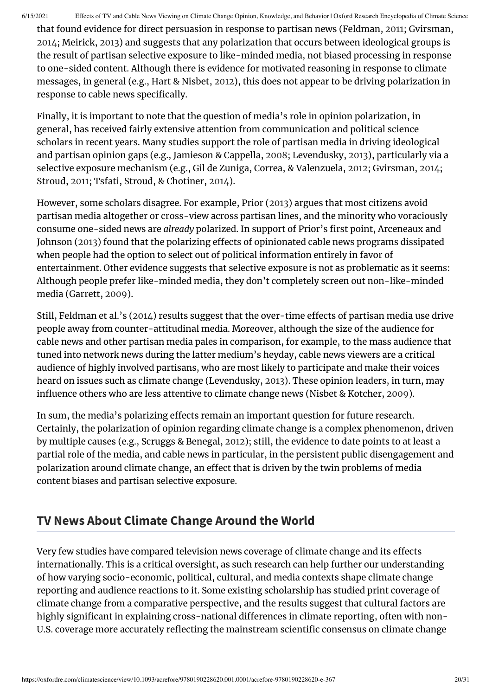that found evidence for direct persuasion in response to partisan news (Feldman, [2011](#page-24-1); Gvirsman, [2014](#page-25-15); Meirick, [2013](#page-27-13)) and suggests that any polarization that occurs between ideological groups is the result of partisan selective exposure to like-minded media, not biased processing in response to one-sided content. Although there is evidence for motivated reasoning in response to climate messages, in general (e.g., Hart & Nisbet, [2012\)](#page-25-16), this does not appear to be driving polarization in response to cable news specifically.

Finally, it is important to note that the question of media's role in opinion polarization, in general, has received fairly extensive attention from communication and political science scholars in recent years. Many studies support the role of partisan media in driving ideological and partisan opinion gaps (e.g., Jamieson & Cappella, [2008](#page-26-16); Levendusky, [2013\)](#page-26-2), particularly via a selective exposure mechanism (e.g., Gil de Zuniga, Correa, & Valenzuela, [2012](#page-25-17); Gvirsman, [2014](#page-25-15); Stroud, [2011;](#page-29-4) Tsfati, Stroud, & Chotiner, [2014\)](#page-29-11).

However, some scholars disagree. For example, Prior ([2013\)](#page-28-5) argues that most citizens avoid partisan media altogether or cross-view across partisan lines, and the minority who voraciously consume one-sided news are *already* polarized. In support of Prior's first point, Arceneaux and Johnson ([2013](#page-23-15)) found that the polarizing effects of opinionated cable news programs dissipated when people had the option to select out of political information entirely in favor of entertainment. Other evidence suggests that selective exposure is not as problematic as it seems: Although people prefer like-minded media, they don't completely screen out non-like-minded media (Garrett, [2009\)](#page-24-14).

Still, Feldman et al.'s ([2014](#page-24-13)) results suggest that the over-time effects of partisan media use drive people away from counter-attitudinal media. Moreover, although the size of the audience for cable news and other partisan media pales in comparison, for example, to the mass audience that tuned into network news during the latter medium's heyday, cable news viewers are a critical audience of highly involved partisans, who are most likely to participate and make their voices heard on issues such as climate change (Levendusky, [2013](#page-26-2)). These opinion leaders, in turn, may influence others who are less attentive to climate change news (Nisbet & Kotcher, [2009](#page-27-14)).

In sum, the media's polarizing effects remain an important question for future research. Certainly, the polarization of opinion regarding climate change is a complex phenomenon, driven by multiple causes (e.g., Scruggs & Benegal, [2012](#page-28-10)); still, the evidence to date points to at least a partial role of the media, and cable news in particular, in the persistent public disengagement and polarization around climate change, an effect that is driven by the twin problems of media content biases and partisan selective exposure.

#### **TV News About Climate Change Around the World**

Very few studies have compared television news coverage of climate change and its effects internationally. This is a critical oversight, as such research can help further our understanding of how varying socio-economic, political, cultural, and media contexts shape climate change reporting and audience reactions to it. Some existing scholarship has studied print coverage of climate change from a comparative perspective, and the results suggest that cultural factors are highly significant in explaining cross-national differences in climate reporting, often with non-U.S. coverage more accurately reflecting the mainstream scientific consensus on climate change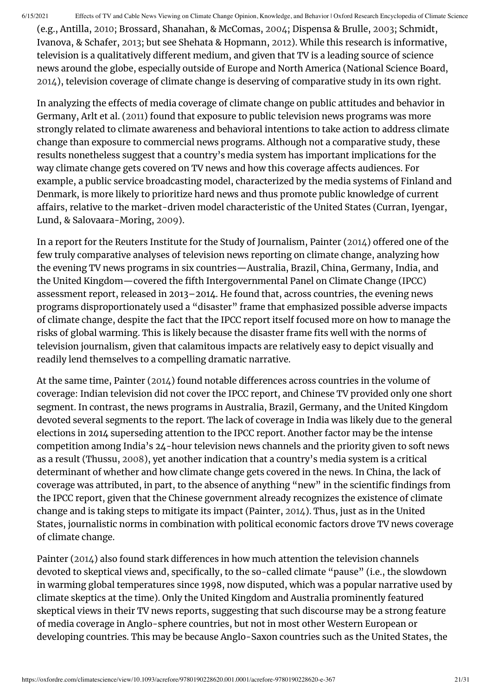(e.g., Antilla, [2010](#page-23-16); Brossard, Shanahan, & McComas, [2004;](#page-23-17) Dispensa & Brulle, [2003](#page-24-15); Schmidt, Ivanova, & Schafer, [2013](#page-28-13); but see Shehata & Hopmann, [2012\)](#page-28-14). While this research is informative, television is a qualitatively different medium, and given that TV is a leading source of science news around the globe, especially outside of Europe and North America (National Science Board, [2014](#page-27-5)), television coverage of climate change is deserving of comparative study in its own right.

In analyzing the effects of media coverage of climate change on public attitudes and behavior in Germany, Arlt et al. [\(2011\)](#page-23-11) found that exposure to public television news programs was more strongly related to climate awareness and behavioral intentions to take action to address climate change than exposure to commercial news programs. Although not a comparative study, these results nonetheless suggest that a country's media system has important implications for the way climate change gets covered on TV news and how this coverage affects audiences. For example, a public service broadcasting model, characterized by the media systems of Finland and Denmark, is more likely to prioritize hard news and thus promote public knowledge of current affairs, relative to the market-driven model characteristic of the United States (Curran, Iyengar, Lund, & Salovaara-Moring, [2009](#page-24-16)).

In a report for the Reuters Institute for the Study of Journalism, Painter [\(2014](#page-28-15)) offered one of the few truly comparative analyses of television news reporting on climate change, analyzing how the evening TV news programs in six countries—Australia, Brazil, China, Germany, India, and the United Kingdom—covered the fifth Intergovernmental Panel on Climate Change (IPCC) assessment report, released in 2013–2014. He found that, across countries, the evening news programs disproportionately used a "disaster" frame that emphasized possible adverse impacts of climate change, despite the fact that the IPCC report itself focused more on how to manage the risks of global warming. This is likely because the disaster frame fits well with the norms of television journalism, given that calamitous impacts are relatively easy to depict visually and readily lend themselves to a compelling dramatic narrative.

At the same time, Painter ([2014](#page-28-15)) found notable differences across countries in the volume of coverage: Indian television did not cover the IPCC report, and Chinese TV provided only one short segment. In contrast, the news programs in Australia, Brazil, Germany, and the United Kingdom devoted several segments to the report. The lack of coverage in India was likely due to the general elections in 2014 superseding attention to the IPCC report. Another factor may be the intense competition among India's 24-hour television news channels and the priority given to soft news as a result (Thussu, [2008\)](#page-29-12), yet another indication that a country's media system is a critical determinant of whether and how climate change gets covered in the news. In China, the lack of coverage was attributed, in part, to the absence of anything "new" in the scientific findings from the IPCC report, given that the Chinese government already recognizes the existence of climate change and is taking steps to mitigate its impact (Painter, [2014\)](#page-28-15). Thus, just as in the United States, journalistic norms in combination with political economic factors drove TV news coverage of climate change.

Painter [\(2014](#page-28-15)) also found stark differences in how much attention the television channels devoted to skeptical views and, specifically, to the so-called climate "pause" (i.e., the slowdown in warming global temperatures since 1998, now disputed, which was a popular narrative used by climate skeptics at the time). Only the United Kingdom and Australia prominently featured skeptical views in their TV news reports, suggesting that such discourse may be a strong feature of media coverage in Anglo-sphere countries, but not in most other Western European or developing countries. This may be because Anglo-Saxon countries such as the United States, the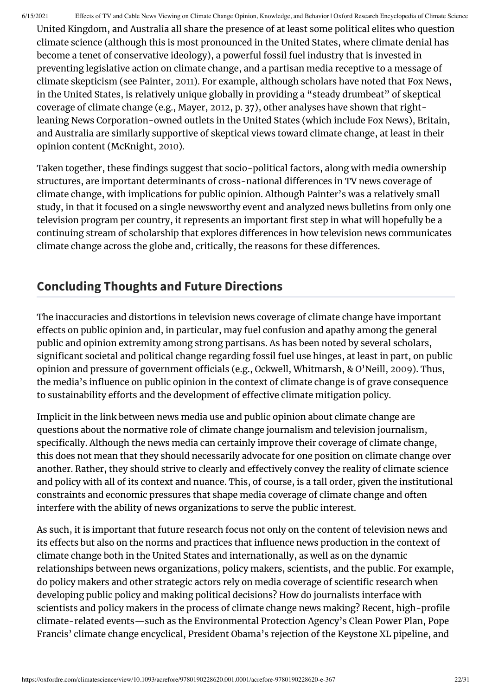United Kingdom, and Australia all share the presence of at least some political elites who question climate science (although this is most pronounced in the United States, where climate denial has become a tenet of conservative ideology), a powerful fossil fuel industry that is invested in preventing legislative action on climate change, and a partisan media receptive to a message of climate skepticism (see Painter, [2011\)](#page-28-16). For example, although scholars have noted that Fox News, in the United States, is relatively unique globally in providing a "steady drumbeat" of skeptical coverage of climate change (e.g., Mayer, [2012](#page-26-4), p. 37), other analyses have shown that rightleaning News Corporation-owned outlets in the United States (which include Fox News), Britain, and Australia are similarly supportive of skeptical views toward climate change, at least in their opinion content (McKnight, [2010](#page-27-15)).

Taken together, these findings suggest that socio-political factors, along with media ownership structures, are important determinants of cross-national differences in TV news coverage of climate change, with implications for public opinion. Although Painter's was a relatively small study, in that it focused on a single newsworthy event and analyzed news bulletins from only one television program per country, it represents an important first step in what will hopefully be a continuing stream of scholarship that explores differences in how television news communicates climate change across the globe and, critically, the reasons for these differences.

### **Concluding Thoughts and Future Directions**

The inaccuracies and distortions in television news coverage of climate change have important effects on public opinion and, in particular, may fuel confusion and apathy among the general public and opinion extremity among strong partisans. As has been noted by several scholars, significant societal and political change regarding fossil fuel use hinges, at least in part, on public opinion and pressure of government officials (e.g., Ockwell, Whitmarsh, & O'Neill, [2009](#page-27-16)). Thus, the media's influence on public opinion in the context of climate change is of grave consequence to sustainability efforts and the development of effective climate mitigation policy.

Implicit in the link between news media use and public opinion about climate change are questions about the normative role of climate change journalism and television journalism, specifically. Although the news media can certainly improve their coverage of climate change, this does not mean that they should necessarily advocate for one position on climate change over another. Rather, they should strive to clearly and effectively convey the reality of climate science and policy with all of its context and nuance. This, of course, is a tall order, given the institutional constraints and economic pressures that shape media coverage of climate change and often interfere with the ability of news organizations to serve the public interest.

As such, it is important that future research focus not only on the content of television news and its effects but also on the norms and practices that influence news production in the context of climate change both in the United States and internationally, as well as on the dynamic relationships between news organizations, policy makers, scientists, and the public. For example, do policy makers and other strategic actors rely on media coverage of scientific research when developing public policy and making political decisions? How do journalists interface with scientists and policy makers in the process of climate change news making? Recent, high-profile climate-related events—such as the Environmental Protection Agency's Clean Power Plan, Pope Francis' climate change encyclical, President Obama's rejection of the Keystone XL pipeline, and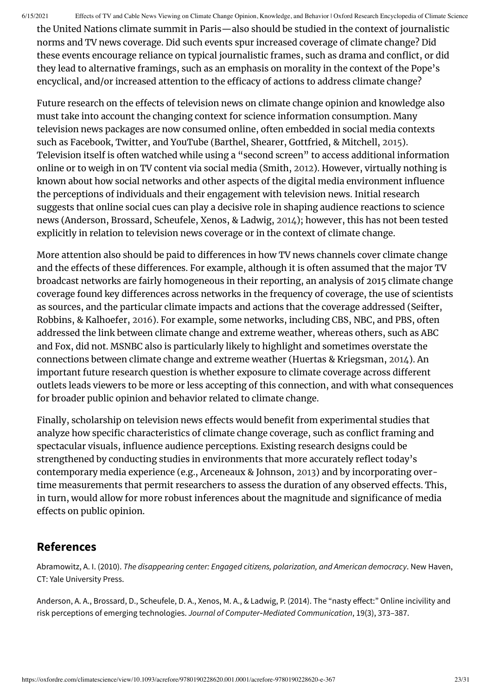the United Nations climate summit in Paris—also should be studied in the context of journalistic norms and TV news coverage. Did such events spur increased coverage of climate change? Did these events encourage reliance on typical journalistic frames, such as drama and conflict, or did they lead to alternative framings, such as an emphasis on morality in the context of the Pope's encyclical, and/or increased attention to the efficacy of actions to address climate change?

Future research on the effects of television news on climate change opinion and knowledge also must take into account the changing context for science information consumption. Many television news packages are now consumed online, often embedded in social media contexts such as Facebook, Twitter, and YouTube (Barthel, Shearer, Gottfried, & Mitchell, [2015\)](#page-23-18). Television itself is often watched while using a "second screen" to access additional information online or to weigh in on TV content via social media (Smith, [2012\)](#page-29-13). However, virtually nothing is known about how social networks and other aspects of the digital media environment influence the perceptions of individuals and their engagement with television news. Initial research suggests that online social cues can play a decisive role in shaping audience reactions to science news (Anderson, Brossard, Scheufele, Xenos, & Ladwig, [2014](#page-22-1)); however, this has not been tested explicitly in relation to television news coverage or in the context of climate change.

More attention also should be paid to differences in how TV news channels cover climate change and the effects of these differences. For example, although it is often assumed that the major TV broadcast networks are fairly homogeneous in their reporting, an analysis of 2015 climate change coverage found key differences across networks in the frequency of coverage, the use of scientists as sources, and the particular climate impacts and actions that the coverage addressed (Seifter, Robbins, & Kalhoefer, [2016\)](#page-28-17). For example, some networks, including CBS, NBC, and PBS, often addressed the link between climate change and extreme weather, whereas others, such as ABC and Fox, did not. MSNBC also is particularly likely to highlight and sometimes overstate the connections between climate change and extreme weather (Huertas & Kriegsman, [2014](#page-25-13)). An important future research question is whether exposure to climate coverage across different outlets leads viewers to be more or less accepting of this connection, and with what consequences for broader public opinion and behavior related to climate change.

Finally, scholarship on television news effects would benefit from experimental studies that analyze how specific characteristics of climate change coverage, such as conflict framing and spectacular visuals, influence audience perceptions. Existing research designs could be strengthened by conducting studies in environments that more accurately reflect today's contemporary media experience (e.g., Arceneaux & Johnson, [2013\)](#page-23-15) and by incorporating overtime measurements that permit researchers to assess the duration of any observed effects. This, in turn, would allow for more robust inferences about the magnitude and significance of media effects on public opinion.

### **References**

<span id="page-22-0"></span>Abramowitz, A. I. (2010). *The disappearing center: Engaged citizens, polarization, and American democracy*. New Haven, CT: Yale University Press.

<span id="page-22-1"></span>Anderson, A. A., Brossard, D., Scheufele, D. A., Xenos, M. A., & Ladwig, P. (2014). The "nasty effect:" Online incivility and risk perceptions of emerging technologies. *Journal of Computer‐Mediated Communication*, 19(3), 373–387.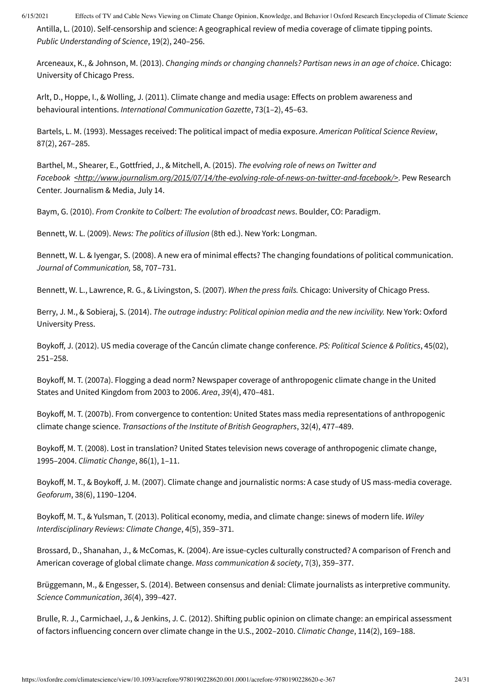<span id="page-23-16"></span>Antilla, L. (2010). Self-censorship and science: A geographical review of media coverage of climate tipping points. *Public Understanding of Science*, 19(2), 240–256.

<span id="page-23-15"></span>Arceneaux, K., & Johnson, M. (2013). *Changing minds or changing channels? Partisan news in an age of choice*. Chicago: University of Chicago Press.

<span id="page-23-11"></span>Arlt, D., Hoppe, I., & Wolling, J. (2011). Climate change and media usage: Effects on problem awareness and behavioural intentions. *International Communication Gazette*, 73(1–2), 45–63.

<span id="page-23-13"></span>Bartels, L. M. (1993). Messages received: The political impact of media exposure. *American Political Science Review*, 87(2), 267–285.

<span id="page-23-18"></span>Barthel, M., Shearer, E., Gottfried, J., & Mitchell, A. (2015). *The evolving role of news on Twitter and Facebook [<http://www.journalism.org/2015/07/14/the-evolving-role-of-news-on-twitter-and-facebook/>](http://www.journalism.org/2015/07/14/the-evolving-role-of-news-on-twitter-and-facebook/)*. Pew Research Center. Journalism & Media, July 14.

<span id="page-23-0"></span>Baym, G. (2010). *From Cronkite to Colbert: The evolution of broadcast news*. Boulder, CO: Paradigm.

<span id="page-23-2"></span>Bennett, W. L. (2009). *News: The politics of illusion* (8th ed.). New York: Longman.

<span id="page-23-14"></span>Bennett, W. L. & Iyengar, S. (2008). A new era of minimal effects? The changing foundations of political communication. *Journal of Communication,* 58, 707–731.

<span id="page-23-8"></span>Bennett, W. L., Lawrence, R. G., & Livingston, S. (2007). *When the press fails.* Chicago: University of Chicago Press.

<span id="page-23-1"></span>Berry, J. M., & Sobieraj, S. (2014). *The outrage industry: Political opinion media and the new incivility.* New York: Oxford University Press.

<span id="page-23-12"></span>Boykoff, J. (2012). US media coverage of the Cancún climate change conference. *PS: Political Science & Politics*, 45(02), 251–258.

<span id="page-23-6"></span>Boykoff, M. T. (2007a). Flogging a dead norm? Newspaper coverage of anthropogenic climate change in the United States and United Kingdom from 2003 to 2006. *Area*, *39*(4), 470–481.

<span id="page-23-5"></span>Boykoff, M. T. (2007b). From convergence to contention: United States mass media representations of anthropogenic climate change science. *Transactions of the Institute of British Geographers*, 32(4), 477–489.

<span id="page-23-4"></span>Boykoff, M. T. (2008). Lost in translation? United States television news coverage of anthropogenic climate change, 1995–2004. *Climatic Change*, 86(1), 1–11.

<span id="page-23-3"></span>Boykoff, M. T., & Boykoff, J. M. (2007). Climate change and journalistic norms: A case study of US mass-media coverage. *Geoforum*, 38(6), 1190–1204.

<span id="page-23-9"></span>Boykoff, M. T., & Yulsman, T. (2013). Political economy, media, and climate change: sinews of modern life. *Wiley Interdisciplinary Reviews: Climate Change*, 4(5), 359–371.

<span id="page-23-17"></span>Brossard, D., Shanahan, J., & McComas, K. (2004). Are issue-cycles culturally constructed? A comparison of French and American coverage of global climate change. *Mass communication & society*, 7(3), 359–377.

<span id="page-23-7"></span>Brüggemann, M., & Engesser, S. (2014). Between consensus and denial: Climate journalists as interpretive community. *Science Communication*, *36*(4), 399–427.

<span id="page-23-10"></span>Brulle, R. J., Carmichael, J., & Jenkins, J. C. (2012). Shifting public opinion on climate change: an empirical assessment of factors influencing concern over climate change in the U.S., 2002–2010. *Climatic Change*, 114(2), 169–188.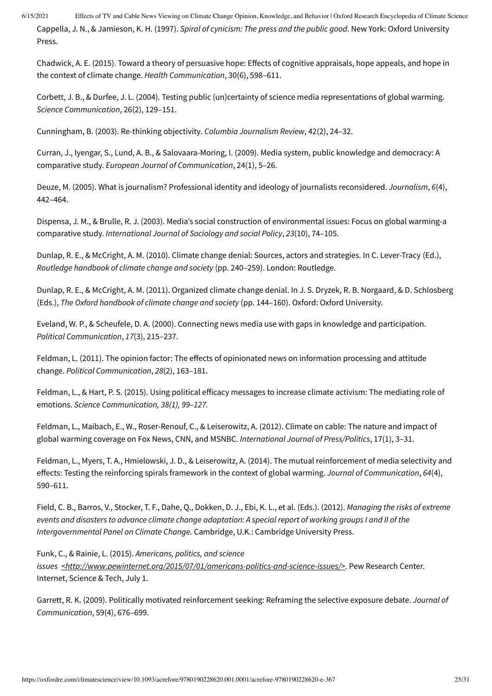<span id="page-24-5"></span>Cappella, J. N., & Jamieson, K. H. (1997). *Spiral of cynicism: The press and the public good*. New York: Oxford University Press.

<span id="page-24-9"></span>Chadwick, A. E. (2015). Toward a theory of persuasive hope: Effects of cognitive appraisals, hope appeals, and hope in the context of climate change. *Health Communication*, 30(6), 598–611.

<span id="page-24-6"></span>Corbett, J. B., & Durfee, J. L. (2004). Testing public (un)certainty of science media representations of global warming. *Science Communication*, 26(2), 129–151.

<span id="page-24-2"></span>Cunningham, B. (2003). Re-thinking objectivity. *Columbia Journalism Review*, 42(2), 24–32.

<span id="page-24-16"></span>Curran, J., Iyengar, S., Lund, A. B., & Salovaara-Moring, I. (2009). Media system, public knowledge and democracy: A comparative study. *European Journal of Communication*, 24(1), 5–26.

<span id="page-24-3"></span>Deuze, M. (2005). What is journalism? Professional identity and ideology of journalists reconsidered. *Journalism*, *6*(4), 442–464.

<span id="page-24-15"></span>Dispensa, J. M., & Brulle, R. J. (2003). Media's social construction of environmental issues: Focus on global warming-a comparative study. *International Journal of Sociology and social Policy*, *23*(10), 74–105.

<span id="page-24-10"></span>Dunlap, R. E., & McCright, A. M. (2010). Climate change denial: Sources, actors and strategies. In C. Lever-Tracy (Ed.), *Routledge handbook of climate change and society* (pp. 240–259). London: Routledge.

<span id="page-24-11"></span>Dunlap, R. E., & McCright, A. M. (2011). Organized climate change denial. In J. S. Dryzek, R. B. Norgaard, & D. Schlosberg (Eds.), *The Oxford handbook of climate change and society* (pp. 144–160). Oxford: Oxford University.

<span id="page-24-7"></span>Eveland, W. P., & Scheufele, D. A. (2000). Connecting news media use with gaps in knowledge and participation. *Political Communication*, *17*(3), 215–237.

<span id="page-24-1"></span>Feldman, L. (2011). The opinion factor: The effects of opinionated news on information processing and attitude change. *Political Communication*, *28*(2), 163–181.

<span id="page-24-8"></span>Feldman, L., & Hart, P. S. (2015). Using political efficacy messages to increase climate activism: The mediating role of emotions. *Science Communication, 38(1), 99–127.*

<span id="page-24-12"></span>Feldman, L., Maibach, E., W., Roser-Renouf, C., & Leiserowitz, A. (2012). Climate on cable: The nature and impact of global warming coverage on Fox News, CNN, and MSNBC. *International Journal of Press/Politics*, 17(1), 3–31.

<span id="page-24-13"></span>Feldman, L., Myers, T. A., Hmielowski, J. D., & Leiserowitz, A. (2014). The mutual reinforcement of media selectivity and effects: Testing the reinforcing spirals framework in the context of global warming. *Journal of Communication*, *64*(4), 590–611.

<span id="page-24-4"></span>Field, C. B., Barros, V., Stocker, T. F., Dahe, Q., Dokken, D. J., Ebi, K. L., et al. (Eds.). (2012). *Managing the risks of extreme* events and disasters to advance climate change adaptation: A special report of working groups I and II of the *Intergovernmental Panel on Climate Change.* Cambridge, U.K.: Cambridge University Press.

<span id="page-24-0"></span>Funk, C., & Rainie, L. (2015). *Americans, politics, and science*

*issues [<http://www.pewinternet.org/2015/07/01/americans-politics-and-science-issues/>](http://www.pewinternet.org/2015/07/01/americans-politics-and-science-issues/)*. Pew Research Center. Internet, Science & Tech, July 1.

<span id="page-24-14"></span>Garrett, R. K. (2009). Politically motivated reinforcement seeking: Reframing the selective exposure debate. *Journal of Communication*, 59(4), 676–699.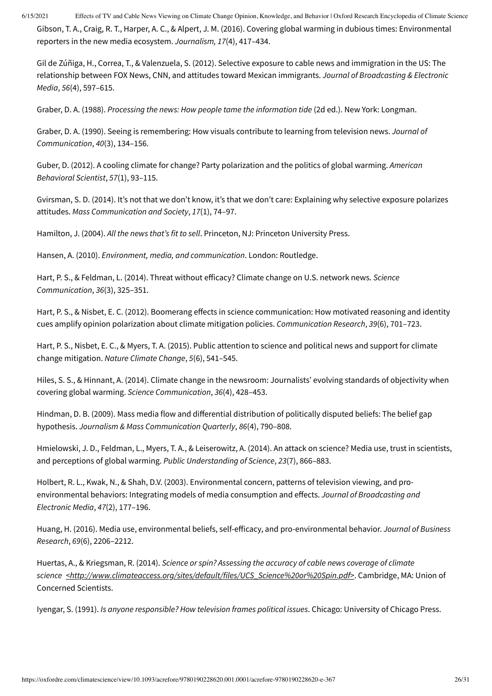<span id="page-25-4"></span>Gibson, T. A., Craig, R. T., Harper, A. C., & Alpert, J. M. (2016). Covering global warming in dubious times: Environmental reporters in the new media ecosystem. *Journalism, 17*(4), 417–434.

<span id="page-25-17"></span>Gil de Zúñiga, H., Correa, T., & Valenzuela, S. (2012). Selective exposure to cable news and immigration in the US: The relationship between FOX News, CNN, and attitudes toward Mexican immigrants. *Journal of Broadcasting & Electronic Media*, *56*(4), 597–615.

<span id="page-25-1"></span>Graber, D. A. (1988). *Processing the news: How people tame the information tide* (2d ed.). New York: Longman.

<span id="page-25-12"></span>Graber, D. A. (1990). Seeing is remembering: How visuals contribute to learning from television news. *Journal of Communication*, *40*(3), 134–156.

<span id="page-25-8"></span>Guber, D. (2012). A cooling climate for change? Party polarization and the politics of global warming. *American Behavioral Scientist*, *57*(1), 93–115.

<span id="page-25-15"></span>Gvirsman, S. D. (2014). It's not that we don't know, it's that we don't care: Explaining why selective exposure polarizes attitudes. *Mass Communication and Society*, *17*(1), 74–97.

<span id="page-25-3"></span>Hamilton, J. (2004). *All the news that's fit to sell*. Princeton, NJ: Princeton University Press.

<span id="page-25-0"></span>Hansen, A. (2010). *Environment, media, and communication*. London: Routledge.

<span id="page-25-6"></span>Hart, P. S., & Feldman, L. (2014). Threat without efficacy? Climate change on U.S. network news. *Science Communication*, *36*(3), 325–351.

<span id="page-25-16"></span>Hart, P. S., & Nisbet, E. C. (2012). Boomerang effects in science communication: How motivated reasoning and identity cues amplify opinion polarization about climate mitigation policies. *Communication Research*, *39*(6), 701–723.

<span id="page-25-9"></span>Hart, P. S., Nisbet, E. C., & Myers, T. A. (2015). Public attention to science and political news and support for climate change mitigation. *Nature Climate Change*, *5*(6), 541–545.

<span id="page-25-5"></span>Hiles, S. S., & Hinnant, A. (2014). Climate change in the newsroom: Journalists' evolving standards of objectivity when covering global warming. *Science Communication*, *36*(4), 428–453.

<span id="page-25-7"></span>Hindman, D. B. (2009). Mass media flow and differential distribution of politically disputed beliefs: The belief gap hypothesis. *Journalism & Mass Communication Quarterly*, *86*(4), 790–808.

<span id="page-25-14"></span>Hmielowski, J. D., Feldman, L., Myers, T. A., & Leiserowitz, A. (2014). An attack on science? Media use, trust in scientists, and perceptions of global warming. *Public Understanding of Science*, *23*(7), 866–883.

<span id="page-25-10"></span>Holbert, R. L., Kwak, N., & Shah, D.V. (2003). Environmental concern, patterns of television viewing, and proenvironmental behaviors: Integrating models of media consumption and effects. *Journal of Broadcasting and Electronic Media*, *47*(2), 177–196.

<span id="page-25-11"></span>Huang, H. (2016). Media use, environmental beliefs, self-efficacy, and pro-environmental behavior. *Journal of Business Research*, *69*(6), 2206–2212.

<span id="page-25-13"></span>Huertas, A., & Kriegsman, R. (2014). *Science or spin? Assessing the accuracy of cable news coverage of climate science [<http://www.climateaccess.org/sites/default/files/UCS\\_Science%20or%20Spin.pdf>](http://www.climateaccess.org/sites/default/files/UCS_Science%20or%20Spin.pdf)*. Cambridge, MA: Union of Concerned Scientists.

<span id="page-25-2"></span>Iyengar, S. (1991). *Is anyone responsible? How television frames political issues*. Chicago: University of Chicago Press.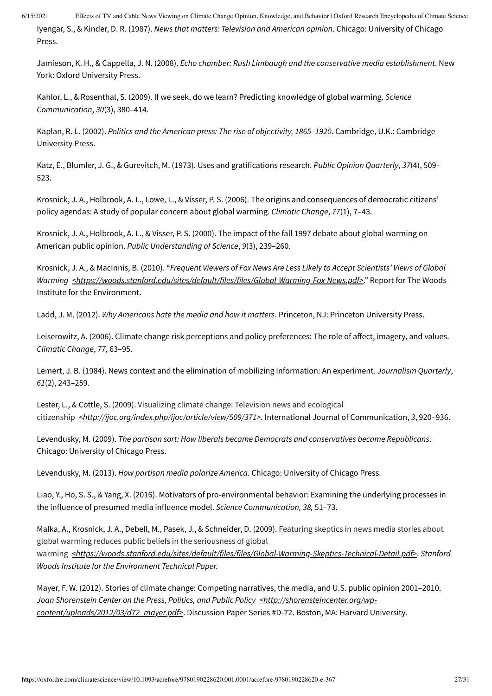<span id="page-26-0"></span>Iyengar, S., & Kinder, D. R. (1987). *News that matters: Television and American opinion*. Chicago: University of Chicago Press.

<span id="page-26-16"></span>Jamieson, K. H., & Cappella, J. N. (2008). *Echo chamber: Rush Limbaugh and the conservative media establishment*. New York: Oxford University Press.

<span id="page-26-10"></span>Kahlor, L., & Rosenthal, S. (2009). If we seek, do we learn? Predicting knowledge of global warming. *Science Communication*, *30*(3), 380–414.

<span id="page-26-3"></span>Kaplan, R. L. (2002). *Politics and the American press: The rise of objectivity, 1865–1920*. Cambridge, U.K.: Cambridge University Press.

<span id="page-26-11"></span>Katz, E., Blumler, J. G., & Gurevitch, M. (1973). Uses and gratifications research. *Public Opinion Quarterly*, *37*(4), 509– 523.

<span id="page-26-8"></span>Krosnick, J. A., Holbrook, A. L., Lowe, L., & Visser, P. S. (2006). The origins and consequences of democratic citizens' policy agendas: A study of popular concern about global warming. *Climatic Change*, *77*(1), 7–43.

<span id="page-26-7"></span>Krosnick, J. A., Holbrook, A. L., & Visser, P. S. (2000). The impact of the fall 1997 debate about global warming on American public opinion. *Public Understanding of Science*, *9*(3), 239–260.

<span id="page-26-15"></span>Krosnick, J. A., & MacInnis, B. (2010). "*Frequent Viewers of Fox News Are Less Likely to Accept Scientists' Views of Global Warming [<https://woods.stanford.edu/sites/default/files/files/Global-Warming-Fox-News.pdf>](https://woods.stanford.edu/sites/default/files/files/Global-Warming-Fox-News.pdf)*." Report for The Woods Institute for the Environment.

<span id="page-26-1"></span>Ladd, J. M. (2012). *Why Americans hate the media and how it matters*. Princeton, NJ: Princeton University Press.

<span id="page-26-13"></span>Leiserowitz, A. (2006). Climate change risk perceptions and policy preferences: The role of affect, imagery, and values. *Climatic Change*, *77*, 63–95.

<span id="page-26-6"></span>Lemert, J. B. (1984). News context and the elimination of mobilizing information: An experiment. *Journalism Quarterly*, *61*(2), 243–259.

<span id="page-26-5"></span>Lester, L., & Cottle, S. (2009). Visualizing climate change: Television news and ecological citizenship *[<http://ijoc.org/index.php/ijoc/article/view/509/371>](http://ijoc.org/index.php/ijoc/article/view/509/371)*. International Journal of Communication, *3*, 920–936.

<span id="page-26-14"></span>Levendusky, M. (2009). *The partisan sort: How liberals became Democrats and conservatives became Republicans*. Chicago: University of Chicago Press.

<span id="page-26-2"></span>Levendusky, M. (2013). *How partisan media polarize America*. Chicago: University of Chicago Press.

<span id="page-26-12"></span>Liao, Y., Ho, S. S., & Yang, X. (2016). Motivators of pro-environmental behavior: Examining the underlying processes in the influence of presumed media influence model. *Science Communication, 38,* 51*–*73.

<span id="page-26-9"></span>Malka, A., Krosnick, J. A., Debell, M., Pasek, J., & Schneider, D. (2009). Featuring skeptics in news media stories about global warming reduces public beliefs in the seriousness of global warming *[<https://woods.stanford.edu/sites/default/files/files/Global-Warming-Skeptics-Technical-Detail.pdf>](https://woods.stanford.edu/sites/default/files/files/Global-Warming-Skeptics-Technical-Detail.pdf)*. *Stanford Woods Institute for the Environment Technical Paper.*

<span id="page-26-4"></span>Mayer, F. W. (2012). Stories of climate change: Competing narratives, the media, and U.S. public opinion 2001–2010. *Joan Shorenstein Center on the Press, Politics, and Public Policy <http://shorensteincenter.org/wp[content/uploads/2012/03/d72\\_mayer.pdf>](http://shorensteincenter.org/wp-content/uploads/2012/03/d72_mayer.pdf)*. Discussion Paper Series #D-72. Boston, MA: Harvard University.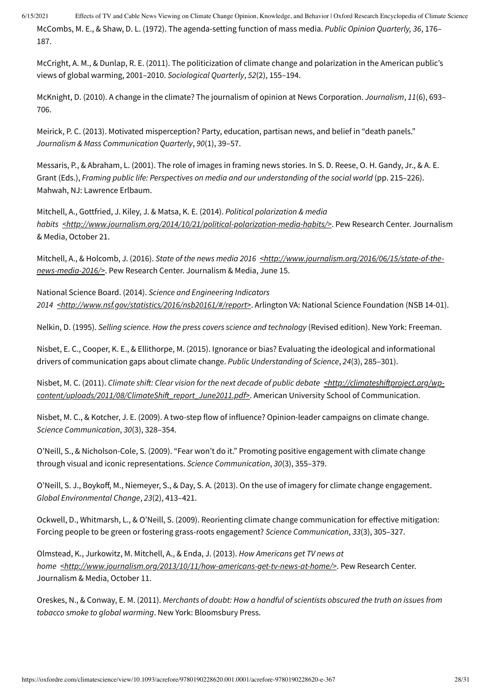<span id="page-27-8"></span>McCombs, M. E., & Shaw, D. L. (1972). The agenda-setting function of mass media. *Public Opinion Quarterly, 36*, 176– 187.

<span id="page-27-1"></span>McCright, A. M., & Dunlap, R. E. (2011). The politicization of climate change and polarization in the American public's views of global warming, 2001–2010. *Sociological Quarterly*, *52*(2), 155–194.

<span id="page-27-15"></span>McKnight, D. (2010). A change in the climate? The journalism of opinion at News Corporation. *Journalism*, *11*(6), 693– 706.

<span id="page-27-13"></span>Meirick, P. C. (2013). Motivated misperception? Party, education, partisan news, and belief in "death panels." *Journalism & Mass Communication Quarterly*, *90*(1), 39–57.

<span id="page-27-10"></span>Messaris, P., & Abraham, L. (2001). The role of images in framing news stories. In S. D. Reese, O. H. Gandy, Jr., & A. E. Grant (Eds.), *Framing public life: Perspectives on media and our understanding of the social world* (pp. 215–226). Mahwah, NJ: Lawrence Erlbaum.

<span id="page-27-4"></span>Mitchell, A., Gottfried, J. Kiley, J. & Matsa, K. E. (2014). *Political polarization & media habits [<http://www.journalism.org/2014/10/21/political-polarization-media-habits/>](http://www.journalism.org/2014/10/21/political-polarization-media-habits/)*. Pew Research Center. Journalism & Media, October 21.

<span id="page-27-3"></span>Mitchell, A., & Holcomb, J. (2016). *State of the news media 2016 [<http://www.journalism.org/2016/06/15/state-of-the](http://www.journalism.org/2016/06/15/state-of-the-news-media-2016/)news-media-2016/>*. Pew Research Center. Journalism & Media, June 15.

<span id="page-27-5"></span>National Science Board. (2014). *Science and Engineering Indicators 2014 [<http://www.nsf.gov/statistics/2016/nsb20161/#/report>](http://www.nsf.gov/statistics/2016/nsb20161/#/report)*. Arlington VA: National Science Foundation (NSB 14-01).

<span id="page-27-0"></span>Nelkin, D. (1995). *Selling science. How the press covers science and technology* (Revised edition). New York: Freeman.

<span id="page-27-9"></span>Nisbet, E. C., Cooper, K. E., & Ellithorpe, M. (2015). Ignorance or bias? Evaluating the ideological and informational drivers of communication gaps about climate change. *Public Understanding of Science*, *24*(3), 285–301).

<span id="page-27-7"></span>Nisbet, M. C. (2011). *Climate shift: Clear vision for the next decade of public debate <http://climateshiftproject.org/wp[content/uploads/2011/08/ClimateShift\\_report\\_June2011.pdf>](http://climateshiftproject.org/wp-content/uploads/2011/08/ClimateShift_report_June2011.pdf)*. American University School of Communication.

<span id="page-27-14"></span>Nisbet, M. C., & Kotcher, J. E. (2009). A two-step flow of influence? Opinion-leader campaigns on climate change. *Science Communication*, *30*(3), 328–354.

<span id="page-27-12"></span>O'Neill, S., & Nicholson-Cole, S. (2009). "Fear won't do it." Promoting positive engagement with climate change through visual and iconic representations. *Science Communication*, *30*(3), 355–379.

<span id="page-27-11"></span>O'Neill, S. J., Boykoff, M., Niemeyer, S., & Day, S. A. (2013). On the use of imagery for climate change engagement. *Global Environmental Change*, *23*(2), 413–421.

<span id="page-27-16"></span>Ockwell, D., Whitmarsh, L., & O'Neill, S. (2009). Reorienting climate change communication for effective mitigation: Forcing people to be green or fostering grass-roots engagement? *Science Communication*, *33*(3), 305–327.

<span id="page-27-2"></span>Olmstead, K., Jurkowitz, M. Mitchell, A., & Enda, J. (2013). *How Americans get TV news at home [<http://www.journalism.org/2013/10/11/how-americans-get-tv-news-at-home/>](http://www.journalism.org/2013/10/11/how-americans-get-tv-news-at-home/)*. Pew Research Center. Journalism & Media, October 11.

<span id="page-27-6"></span>Oreskes, N., & Conway, E. M. (2011). *Merchants of doubt: How a handful of scientists obscured the truth on issues from tobacco smoke to global warming*. New York: Bloomsbury Press.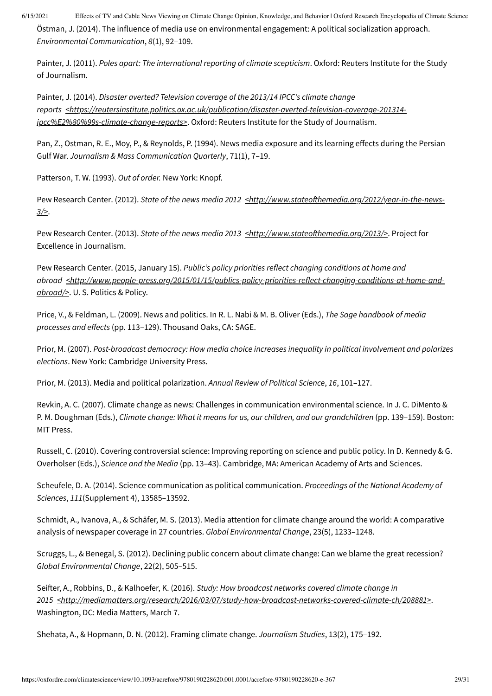<span id="page-28-12"></span>Östman, J. (2014). The influence of media use on environmental engagement: A political socialization approach. *Environmental Communication*, *8*(1), 92–109.

<span id="page-28-16"></span>Painter, J. (2011). *Poles apart: The international reporting of climate scepticism*. Oxford: Reuters Institute for the Study of Journalism.

<span id="page-28-15"></span>Painter, J. (2014). *Disaster averted? Television coverage of the 2013/14 IPCC's climate change reports [<https://reutersinstitute.politics.ox.ac.uk/publication/disaster-averted-television-coverage-201314](https://reutersinstitute.politics.ox.ac.uk/publication/disaster-averted-television-coverage-201314-ipcc%E2%80%99s-climate-change-reports) ipcc%E2%80%99s-climate-change-reports>*. Oxford: Reuters Institute for the Study of Journalism.

<span id="page-28-11"></span>Pan, Z., Ostman, R. E., Moy, P., & Reynolds, P. (1994). News media exposure and its learning effects during the Persian Gulf War. *Journalism & Mass Communication Quarterly*, 71(1), 7–19.

<span id="page-28-9"></span>Patterson, T. W. (1993). *Out of order.* New York: Knopf.

<span id="page-28-7"></span>Pew Research Center. (2012). State of the news media 2012 [<http://www.stateofthemedia.org/2012/year-in-the-news-](http://www.stateofthemedia.org/2012/year-in-the-news-3/)*3/>*.

<span id="page-28-4"></span>Pew Research Center. (2013). *State of the news media 2013 [<http://www.stateofthemedia.org/2013/>](http://www.stateofthemedia.org/2013/)*. Project for Excellence in Journalism.

<span id="page-28-1"></span>Pew Research Center. (2015, January 15). *Public's policy priorities reflect changing conditions at home and abroad [<http://www.people-press.org/2015/01/15/publics-policy-priorities-reflect-changing-conditions-at-home-and](http://www.people-press.org/2015/01/15/publics-policy-priorities-reflect-changing-conditions-at-home-and-abroad/)abroad/>*. U. S. Politics & Policy.

<span id="page-28-3"></span>Price, V., & Feldman, L. (2009). News and politics. In R. L. Nabi & M. B. Oliver (Eds.), *The Sage handbook of media processes and effects* (pp. 113–129). Thousand Oaks, CA: SAGE.

<span id="page-28-2"></span>Prior, M. (2007). *Post-broadcast democracy: How media choice increases inequality in political involvement and polarizes elections*. New York: Cambridge University Press.

<span id="page-28-5"></span>Prior, M. (2013). Media and political polarization. *Annual Review of Political Science*, *16*, 101–127.

<span id="page-28-6"></span>Revkin, A. C. (2007). Climate change as news: Challenges in communication environmental science. In J. C. DiMento & P. M. Doughman (Eds.), *Climate change: What it means for us, our children, and our grandchildren* (pp. 139–159). Boston: MIT Press.

<span id="page-28-8"></span>Russell, C. (2010). Covering controversial science: Improving reporting on science and public policy. In D. Kennedy & G. Overholser (Eds.), *Science and the Media* (pp. 13–43). Cambridge, MA: American Academy of Arts and Sciences.

<span id="page-28-0"></span>Scheufele, D. A. (2014). Science communication as political communication. *Proceedings of the National Academy of Sciences*, *111*(Supplement 4), 13585–13592.

<span id="page-28-13"></span>Schmidt, A., Ivanova, A., & Schäfer, M. S. (2013). Media attention for climate change around the world: A comparative analysis of newspaper coverage in 27 countries. *Global Environmental Change*, 23(5), 1233–1248.

<span id="page-28-10"></span>Scruggs, L., & Benegal, S. (2012). Declining public concern about climate change: Can we blame the great recession? *Global Environmental Change*, 22(2), 505–515.

<span id="page-28-17"></span>Seifter, A., Robbins, D., & Kalhoefer, K. (2016). *Study: How broadcast networks covered climate change in 2015 [<http://mediamatters.org/research/2016/03/07/study-how-broadcast-networks-covered-climate-ch/208881>](http://mediamatters.org/research/2016/03/07/study-how-broadcast-networks-covered-climate-ch/208881)*. Washington, DC: Media Matters, March 7.

<span id="page-28-14"></span>Shehata, A., & Hopmann, D. N. (2012). Framing climate change. *Journalism Studies*, 13(2), 175–192.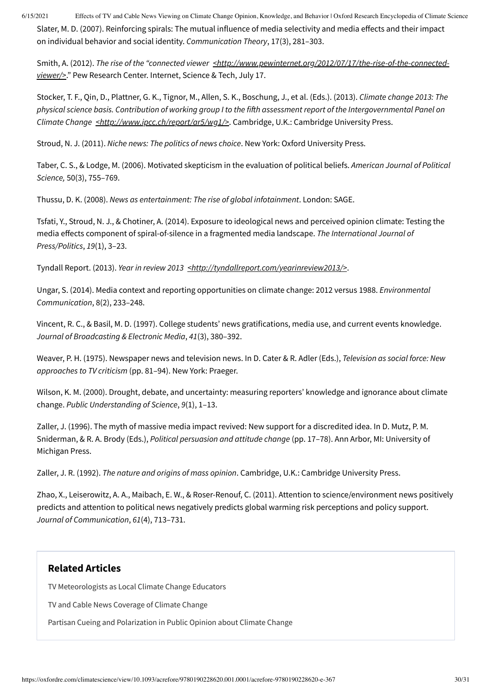6/15/2021 Effects of TV and Cable News Viewing on Climate Change Opinion, Knowledge, and Behavior | Oxford Research Encyclopedia of Climate Science Slater, M. D. (2007). Reinforcing spirals: The mutual influence of media selectivity and media effects and their impact

<span id="page-29-9"></span>on individual behavior and social identity. *Communication Theory*, 17(3), 281–303.

<span id="page-29-13"></span>Smith, A. (2012). *The rise of the "connected viewer [<http://www.pewinternet.org/2012/07/17/the-rise-of-the-connected](http://www.pewinternet.org/2012/07/17/the-rise-of-the-connected-viewer/)viewer/>*." Pew Research Center. Internet, Science & Tech, July 17.

<span id="page-29-1"></span>Stocker, T. F., Qin, D., Plattner, G. K., Tignor, M., Allen, S. K., Boschung, J., et al. (Eds.). (2013). *Climate change 2013: The* physical science basis. Contribution of working group I to the fifth assessment report of the Intergovernmental Panel on *Climate Change [<http://www.ipcc.ch/report/ar5/wg1/>](http://www.ipcc.ch/report/ar5/wg1/)*. Cambridge, U.K.: Cambridge University Press.

<span id="page-29-4"></span>Stroud, N. J. (2011). *Niche news: The politics of news choice*. New York: Oxford University Press.

<span id="page-29-10"></span>Taber, C. S., & Lodge, M. (2006). Motivated skepticism in the evaluation of political beliefs. *American Journal of Political Science,* 50(3), 755–769.

<span id="page-29-12"></span>Thussu, D. K. (2008). *News as entertainment: The rise of global infotainment*. London: SAGE.

<span id="page-29-11"></span>Tsfati, Y., Stroud, N. J., & Chotiner, A. (2014). Exposure to ideological news and perceived opinion climate: Testing the media effects component of spiral-of-silence in a fragmented media landscape. *The International Journal of Press/Politics*, *19*(1), 3–23.

Tyndall Report. (2013). *Year in review 2013* <*http://tyndallreport.com/yearinreview2013/>*.

<span id="page-29-6"></span>Ungar, S. (2014). Media context and reporting opportunities on climate change: 2012 versus 1988. *Environmental Communication*, 8(2), 233–248.

<span id="page-29-7"></span>Vincent, R. C., & Basil, M. D. (1997). College students' news gratifications, media use, and current events knowledge. *Journal of Broadcasting & Electronic Media*, *41*(3), 380–392.

<span id="page-29-5"></span>Weaver, P. H. (1975). Newspaper news and television news. In D. Cater & R. Adler (Eds.), *Television as social force: New approaches to TV criticism* (pp. 81–94). New York: Praeger.

<span id="page-29-0"></span>Wilson, K. M. (2000). Drought, debate, and uncertainty: measuring reporters' knowledge and ignorance about climate change. *Public Understanding of Science*, *9*(1), 1–13.

<span id="page-29-3"></span>Zaller, J. (1996). The myth of massive media impact revived: New support for a discredited idea. In D. Mutz, P. M. Sniderman, & R. A. Brody (Eds.), *Political persuasion and attitude change* (pp. 17–78). Ann Arbor, MI: University of Michigan Press.

<span id="page-29-2"></span>Zaller, J. R. (1992). *The nature and origins of mass opinion*. Cambridge, U.K.: Cambridge University Press.

<span id="page-29-8"></span>Zhao, X., Leiserowitz, A. A., Maibach, E. W., & Roser-Renouf, C. (2011). Attention to science/environment news positively predicts and attention to political news negatively predicts global warming risk perceptions and policy support. *Journal of Communication*, *61*(4), 713–731.

#### **Related Articles**

TV [Meteorologists](https://oxfordre.com/climatescience/viewbydoi/10.1093/acrefore/9780190228620.013.505) as Local Climate Change Educators

TV and Cable News [Coverage](https://oxfordre.com/climatescience/viewbydoi/10.1093/acrefore/9780190228620.013.360) of Climate Change

Partisan Cueing and [Polarization](https://oxfordre.com/climatescience/viewbydoi/10.1093/acrefore/9780190228620.013.306) in Public Opinion about Climate Change